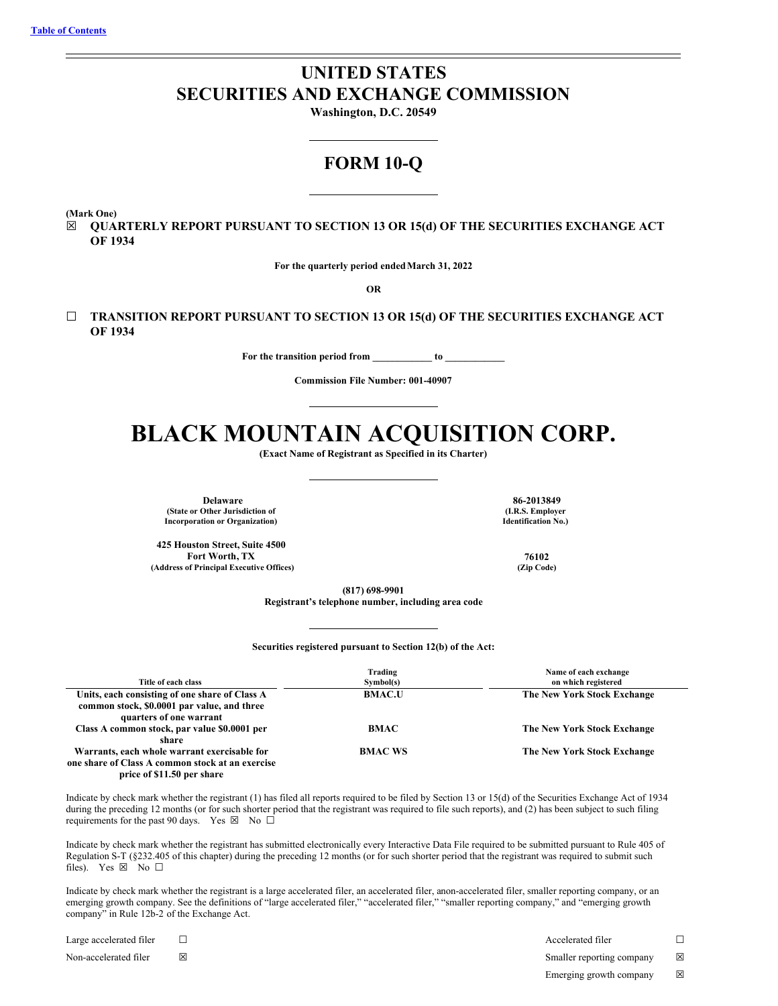# **UNITED STATES SECURITIES AND EXCHANGE COMMISSION**

**Washington, D.C. 20549**

## **FORM 10-Q**

**(Mark One)**

☒ **QUARTERLY REPORT PURSUANT TO SECTION 13 OR 15(d) OF THE SECURITIES EXCHANGE ACT OF 1934**

**For the quarterly period endedMarch 31, 2022**

**OR**

☐ **TRANSITION REPORT PURSUANT TO SECTION 13 OR 15(d) OF THE SECURITIES EXCHANGE ACT OF 1934**

**For the transition period from \_\_\_\_\_\_\_\_\_\_\_\_ to \_\_\_\_\_\_\_\_\_\_\_\_**

**Commission File Number: 001-40907**

# **BLACK MOUNTAIN ACQUISITION CORP.**

**(Exact Name of Registrant as Specified in its Charter)**

**Delaware 86-2013849 (State or Other Jurisdiction of Incorporation or Organization)**

**425 Houston Street, Suite 4500 Fort Worth, TX 76102 (Address of Principal Executive Offices) (Zip Code)**

**(I.R.S. Employer Identification No.)**

**(817) 698-9901**

**Registrant's telephone number, including area code**

**Securities registered pursuant to Section 12(b) of the Act:**

| Title of each class                                                                                                            | Trading<br>Symbol(s) | Name of each exchange<br>on which registered |
|--------------------------------------------------------------------------------------------------------------------------------|----------------------|----------------------------------------------|
| Units, each consisting of one share of Class A<br>common stock, \$0.0001 par value, and three<br>quarters of one warrant       | <b>BMAC.U</b>        | <b>The New York Stock Exchange</b>           |
| Class A common stock, par value \$0.0001 per<br>share                                                                          | <b>BMAC</b>          | The New York Stock Exchange                  |
| Warrants, each whole warrant exercisable for<br>one share of Class A common stock at an exercise<br>price of \$11.50 per share | <b>BMAC WS</b>       | The New York Stock Exchange                  |

Indicate by check mark whether the registrant (1) has filed all reports required to be filed by Section 13 or 15(d) of the Securities Exchange Act of 1934 during the preceding 12 months (or for such shorter period that the registrant was required to file such reports), and (2) has been subject to such filing requirements for the past 90 days. Yes  $\boxtimes$  No  $\Box$ 

Indicate by check mark whether the registrant has submitted electronically every Interactive Data File required to be submitted pursuant to Rule 405 of Regulation S-T (§232.405 of this chapter) during the preceding 12 months (or for such shorter period that the registrant was required to submit such files). Yes  $\boxtimes$  No  $\square$ 

Indicate by check mark whether the registrant is a large accelerated filer, an accelerated filer, anon-accelerated filer, smaller reporting company, or an emerging growth company. See the definitions of "large accelerated filer," "accelerated filer," "smaller reporting company," and "emerging growth company" in Rule 12b-2 of the Exchange Act.

Large accelerated filer ☐ Accelerated filer ☐ Non-accelerated filer ⊠ <br>
⊠ Smaller reporting company ⊠ Emerging growth company  $\boxtimes$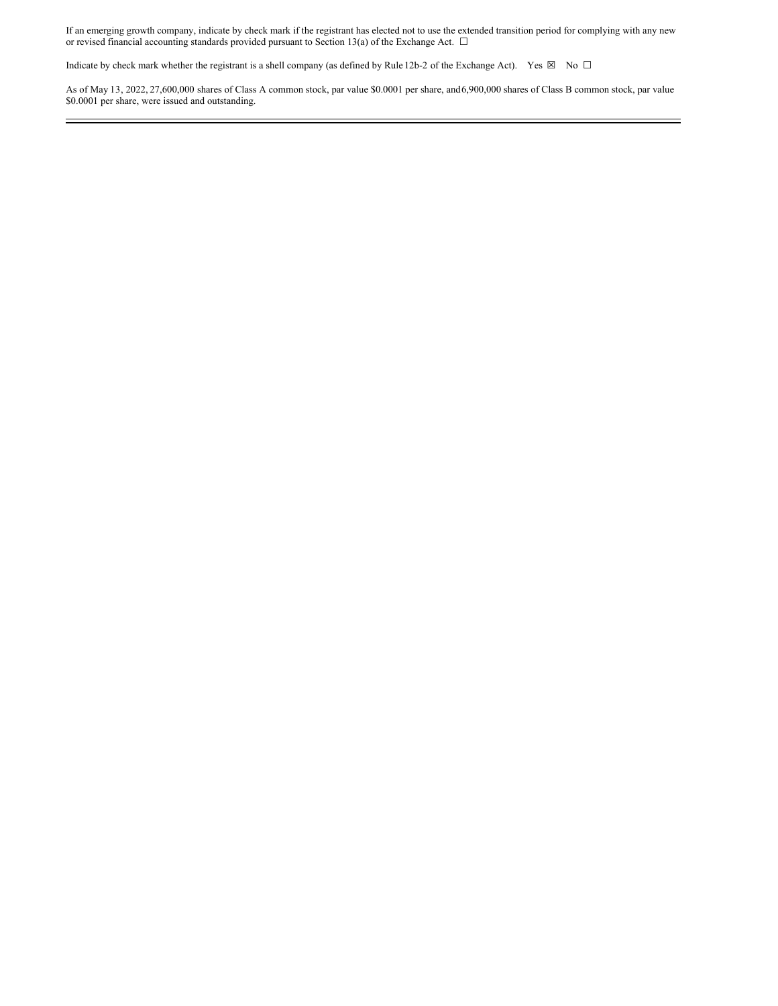If an emerging growth company, indicate by check mark if the registrant has elected not to use the extended transition period for complying with any new or revised financial accounting standards provided pursuant to Section 13(a) of the Exchange Act.  $\Box$ 

Indicate by check mark whether the registrant is a shell company (as defined by Rule 12b-2 of the Exchange Act). Yes  $\boxtimes$  No  $\Box$ 

As of May 13, 2022, 27,600,000 shares of Class A common stock, par value \$0.0001 per share, and6,900,000 shares of Class B common stock, par value \$0.0001 per share, were issued and outstanding.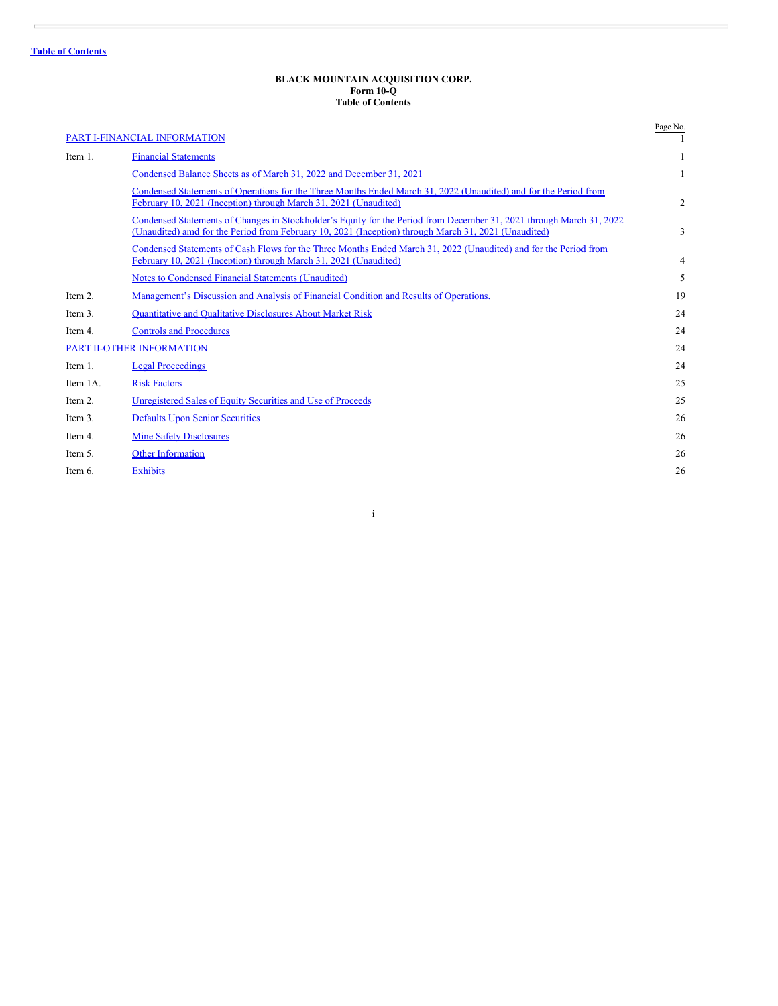### **BLACK MOUNTAIN ACQUISITION CORP. Form 10-Q Table of Contents**

<span id="page-2-0"></span>

|          | PART I-FINANCIAL INFORMATION                                                                                                                                                                                                 | Page No. |
|----------|------------------------------------------------------------------------------------------------------------------------------------------------------------------------------------------------------------------------------|----------|
| Item 1.  | <b>Financial Statements</b>                                                                                                                                                                                                  |          |
|          | Condensed Balance Sheets as of March 31, 2022 and December 31, 2021                                                                                                                                                          | 1        |
|          | Condensed Statements of Operations for the Three Months Ended March 31, 2022 (Unaudited) and for the Period from<br>February 10, 2021 (Inception) through March 31, 2021 (Unaudited)                                         | 2        |
|          | Condensed Statements of Changes in Stockholder's Equity for the Period from December 31, 2021 through March 31, 2022<br>(Unaudited) amd for the Period from February 10, 2021 (Inception) through March 31, 2021 (Unaudited) | 3        |
|          | Condensed Statements of Cash Flows for the Three Months Ended March 31, 2022 (Unaudited) and for the Period from<br>February 10, 2021 (Inception) through March 31, 2021 (Unaudited)                                         | 4        |
|          | Notes to Condensed Financial Statements (Unaudited)                                                                                                                                                                          | 5        |
| Item 2.  | Management's Discussion and Analysis of Financial Condition and Results of Operations.                                                                                                                                       | 19       |
| Item 3.  | <b>Ouantitative and Qualitative Disclosures About Market Risk</b>                                                                                                                                                            | 24       |
| Item 4.  | <b>Controls and Procedures</b>                                                                                                                                                                                               | 24       |
|          | PART II-OTHER INFORMATION                                                                                                                                                                                                    | 24       |
| Item 1.  | <b>Legal Proceedings</b>                                                                                                                                                                                                     | 24       |
| Item 1A. | <b>Risk Factors</b>                                                                                                                                                                                                          | 25       |
| Item 2.  | Unregistered Sales of Equity Securities and Use of Proceeds                                                                                                                                                                  | 25       |
| Item 3.  | <b>Defaults Upon Senior Securities</b>                                                                                                                                                                                       | 26       |
| Item 4.  | <b>Mine Safety Disclosures</b>                                                                                                                                                                                               | 26       |
| Item 5.  | <b>Other Information</b>                                                                                                                                                                                                     | 26       |
| Item 6.  | <b>Exhibits</b>                                                                                                                                                                                                              | 26       |

i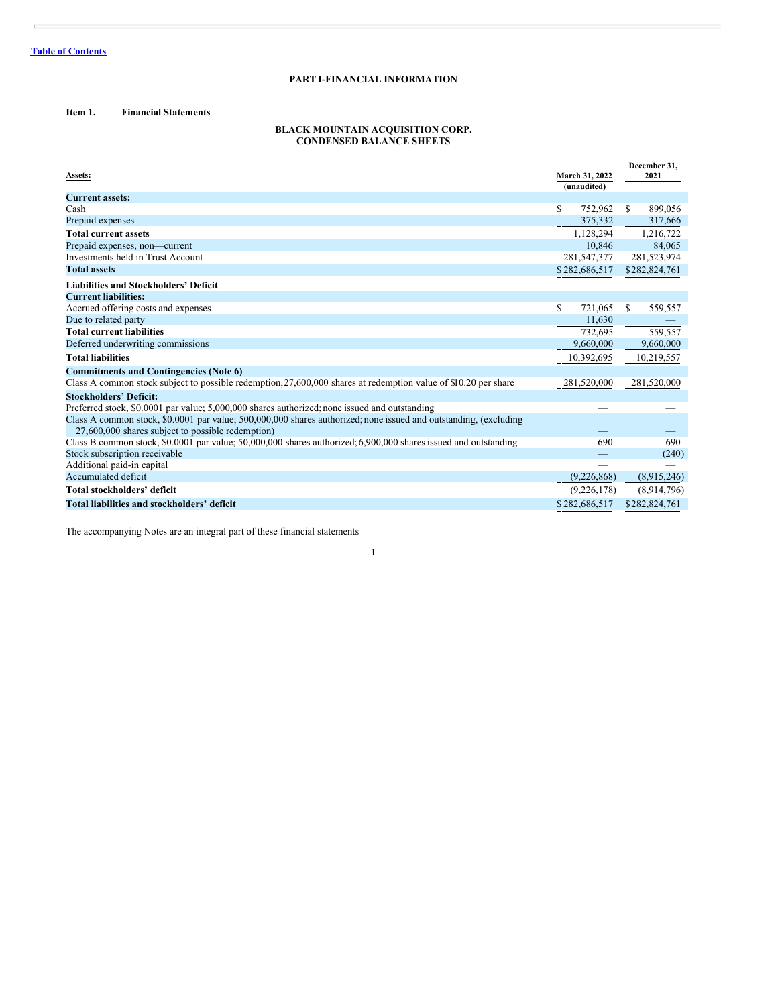### **PART I-FINANCIAL INFORMATION**

### <span id="page-3-1"></span><span id="page-3-0"></span>**Item 1. Financial Statements**

### **BLACK MOUNTAIN ACQUISITION CORP. CONDENSED BALANCE SHEETS**

<span id="page-3-2"></span>

| Assets:                                                                                                                                                               |    | March 31, 2022 |               | December 31.<br>2021 |
|-----------------------------------------------------------------------------------------------------------------------------------------------------------------------|----|----------------|---------------|----------------------|
|                                                                                                                                                                       |    | (unaudited)    |               |                      |
| <b>Current assets:</b>                                                                                                                                                |    |                |               |                      |
| Cash                                                                                                                                                                  | S  | 752,962        | <sup>\$</sup> | 899,056              |
| Prepaid expenses                                                                                                                                                      |    | 375,332        |               | 317,666              |
| <b>Total current assets</b>                                                                                                                                           |    | 1,128,294      |               | 1,216,722            |
| Prepaid expenses, non-current                                                                                                                                         |    | 10.846         |               | 84.065               |
| Investments held in Trust Account                                                                                                                                     |    | 281,547,377    |               | 281,523,974          |
| <b>Total assets</b>                                                                                                                                                   |    | \$282,686,517  |               | \$282,824,761        |
| <b>Liabilities and Stockholders' Deficit</b>                                                                                                                          |    |                |               |                      |
| <b>Current liabilities:</b>                                                                                                                                           |    |                |               |                      |
| Accrued offering costs and expenses                                                                                                                                   | \$ | 721.065        | S             | 559,557              |
| Due to related party                                                                                                                                                  |    | 11,630         |               |                      |
| <b>Total current liabilities</b>                                                                                                                                      |    | 732,695        |               | 559,557              |
| Deferred underwriting commissions                                                                                                                                     |    | 9,660,000      |               | 9,660,000            |
| <b>Total liabilities</b>                                                                                                                                              |    | 10,392,695     |               | 10,219,557           |
| <b>Commitments and Contingencies (Note 6)</b>                                                                                                                         |    |                |               |                      |
| Class A common stock subject to possible redemption, 27,600,000 shares at redemption value of \$10.20 per share                                                       |    | 281,520,000    |               | 281,520,000          |
| <b>Stockholders' Deficit:</b>                                                                                                                                         |    |                |               |                      |
| Preferred stock, \$0.0001 par value; 5,000,000 shares authorized; none issued and outstanding                                                                         |    |                |               |                      |
| Class A common stock, \$0,0001 par value; 500,000,000 shares authorized; none issued and outstanding, (excluding<br>27,600,000 shares subject to possible redemption) |    |                |               |                      |
| Class B common stock, \$0.0001 par value; 50,000,000 shares authorized; 6,900,000 shares issued and outstanding                                                       |    | 690            |               | 690                  |
| Stock subscription receivable                                                                                                                                         |    |                |               | (240)                |
| Additional paid-in capital                                                                                                                                            |    |                |               |                      |
| Accumulated deficit                                                                                                                                                   |    | (9,226,868)    |               | (8,915,246)          |
| Total stockholders' deficit                                                                                                                                           |    | (9,226,178)    |               | (8,914,796)          |
| Total liabilities and stockholders' deficit                                                                                                                           |    | \$282,686,517  |               | \$282,824,761        |

1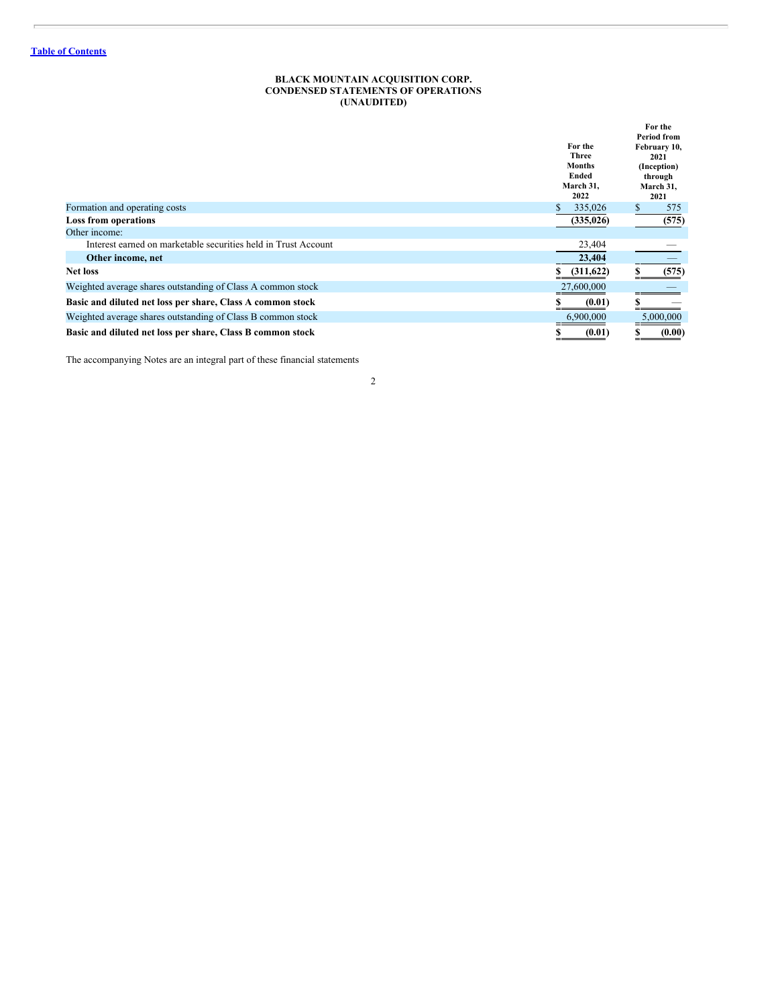### **BLACK MOUNTAIN ACQUISITION CORP. CONDENSED STATEMENTS OF OPERATIONS (UNAUDITED)**

<span id="page-4-0"></span>

|                                                                | For the<br><b>Three</b><br><b>Months</b><br>Ended<br>March 31,<br>2022 | For the<br>Period from<br>February 10,<br>2021<br>(Inception)<br>through<br>March 31,<br>2021 |
|----------------------------------------------------------------|------------------------------------------------------------------------|-----------------------------------------------------------------------------------------------|
| Formation and operating costs                                  | 335,026                                                                | \$<br>575                                                                                     |
| <b>Loss from operations</b>                                    | (335, 026)                                                             | (575)                                                                                         |
| Other income:                                                  |                                                                        |                                                                                               |
| Interest earned on marketable securities held in Trust Account | 23,404                                                                 |                                                                                               |
| Other income, net                                              | 23,404                                                                 |                                                                                               |
| <b>Net loss</b>                                                | (311, 622)                                                             | (575)                                                                                         |
| Weighted average shares outstanding of Class A common stock    | 27,600,000                                                             |                                                                                               |
| Basic and diluted net loss per share, Class A common stock     | (0.01)                                                                 |                                                                                               |
| Weighted average shares outstanding of Class B common stock    | 6,900,000                                                              | 5,000,000                                                                                     |
| Basic and diluted net loss per share, Class B common stock     | (0.01)                                                                 | (0.00)                                                                                        |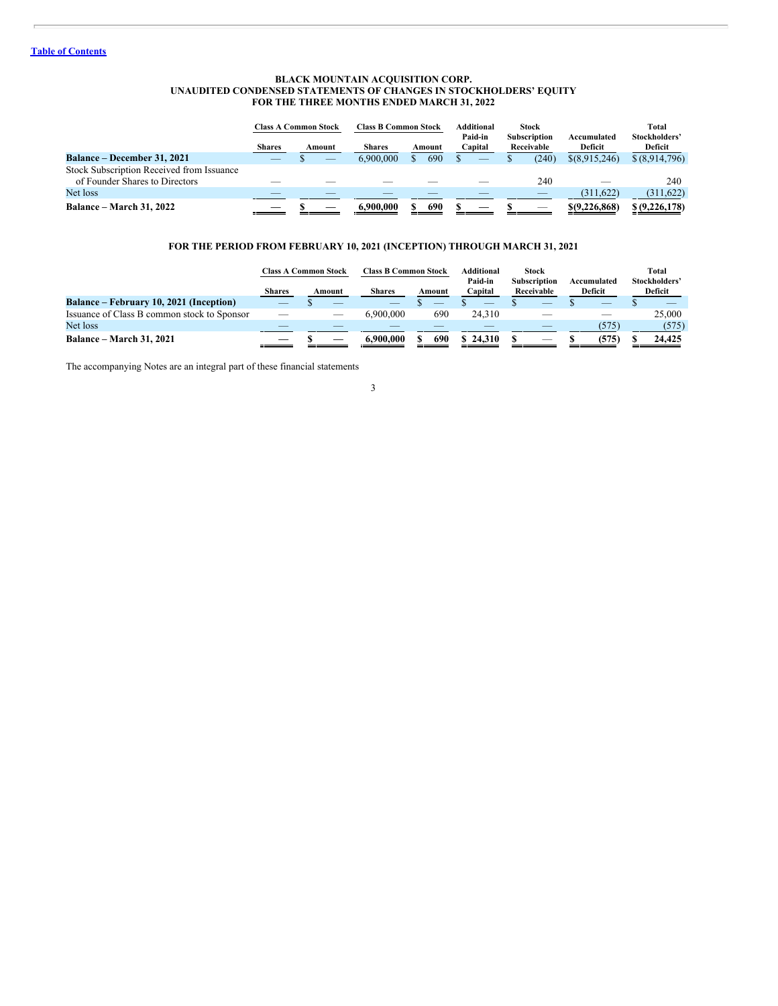### **BLACK MOUNTAIN ACQUISITION CORP. UNAUDITED CONDENSED STATEMENTS OF CHANGES IN STOCKHOLDERS' EQUITY FOR THE THREE MONTHS ENDED MARCH 31, 2022**

<span id="page-5-0"></span>

|                                                                             | <b>Class A Common Stock</b> |        | <b>Class B Common Stock</b> |        | Additional         | <b>Stock</b>                      |                        | <b>Total</b>             |
|-----------------------------------------------------------------------------|-----------------------------|--------|-----------------------------|--------|--------------------|-----------------------------------|------------------------|--------------------------|
|                                                                             | <b>Shares</b>               | Amount | <b>Shares</b>               | Amount | Paid-in<br>Capital | <b>Subscription</b><br>Receivable | Accumulated<br>Deficit | Stockholders'<br>Deficit |
| <b>Balance – December 31, 2021</b>                                          |                             | __     | 6,900,000                   | 690    |                    | (240)                             | \$(8,915,246)          | \$ (8,914,796)           |
| Stock Subscription Received from Issuance<br>of Founder Shares to Directors |                             |        |                             |        |                    | 240                               |                        | 240                      |
| Net loss                                                                    |                             |        |                             |        |                    |                                   | (311.622)              | (311, 622)               |
| <b>Balance – March 31, 2022</b>                                             |                             |        | 6.900.000                   | 690    |                    |                                   | \$(9,226,868)          | \$ (9,226,178)           |

### **FOR THE PERIOD FROM FEBRUARY 10, 2021 (INCEPTION) THROUGH MARCH 31, 2021**

|                                             |               | <b>Class A Common Stock</b> | <b>Class B Common Stock</b> |        | <b>Additional</b><br>Paid-in | <b>Stock</b><br><b>Subscription</b> | Accumulated | <b>Total</b><br>Stockholders' |
|---------------------------------------------|---------------|-----------------------------|-----------------------------|--------|------------------------------|-------------------------------------|-------------|-------------------------------|
|                                             | <b>Shares</b> | Amount                      | <b>Shares</b>               | Amount | Capital                      | Receivable                          | Deficit     | Deficit                       |
| Balance – February 10, 2021 (Inception)     |               |                             | _                           |        |                              |                                     |             |                               |
| Issuance of Class B common stock to Sponsor |               |                             | 5.900.000                   | 690    | 24.310                       |                                     |             | 25,000                        |
| Net loss                                    |               |                             |                             |        |                              |                                     | (575)       | (575)                         |
| <b>Balance – March 31, 2021</b>             |               |                             | 6.900.000                   | 690    | 24.310                       |                                     | (575)       | 24.425                        |

3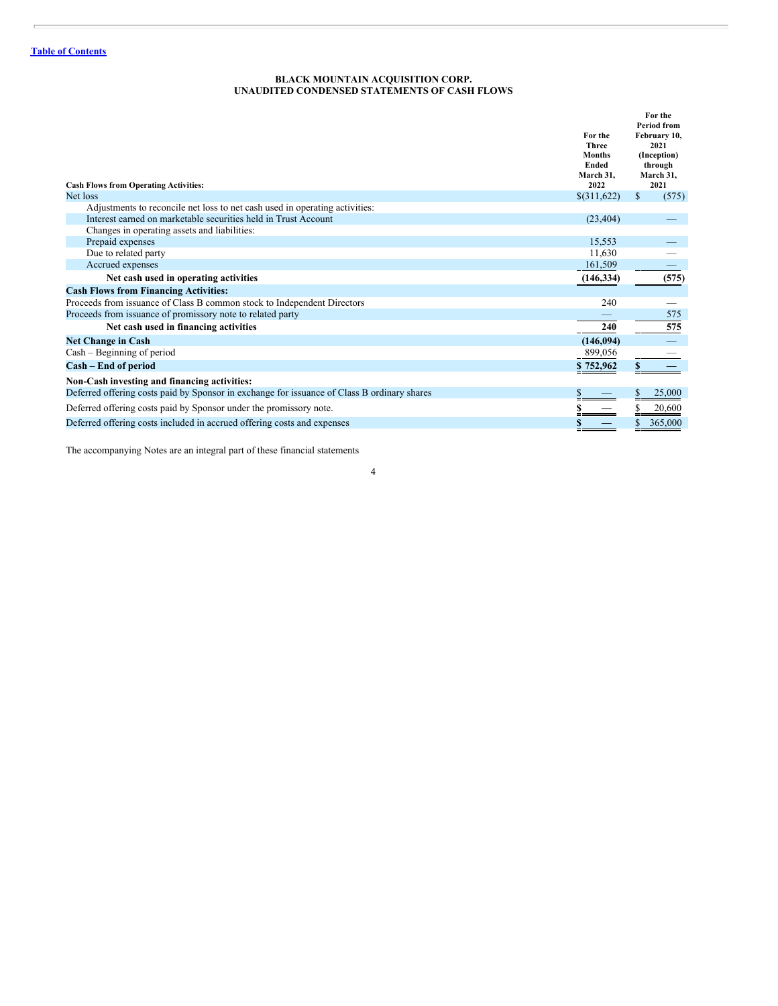### **BLACK MOUNTAIN ACQUISITION CORP. UNAUDITED CONDENSED STATEMENTS OF CASH FLOWS**

<span id="page-6-0"></span>

| <b>Cash Flows from Operating Activities:</b>                                                | For the<br><b>Three</b><br><b>Months</b><br><b>Ended</b><br>March 31.<br>2022 | For the<br><b>Period from</b><br>February 10,<br>2021<br>(Inception)<br>through<br>March 31,<br>2021 |
|---------------------------------------------------------------------------------------------|-------------------------------------------------------------------------------|------------------------------------------------------------------------------------------------------|
| Net loss                                                                                    | \$(311,622)                                                                   | \$<br>(575)                                                                                          |
| Adjustments to reconcile net loss to net cash used in operating activities:                 |                                                                               |                                                                                                      |
| Interest earned on marketable securities held in Trust Account                              | (23, 404)                                                                     |                                                                                                      |
| Changes in operating assets and liabilities:                                                |                                                                               |                                                                                                      |
| Prepaid expenses                                                                            | 15,553                                                                        |                                                                                                      |
| Due to related party                                                                        | 11.630                                                                        |                                                                                                      |
| Accrued expenses                                                                            | 161,509                                                                       |                                                                                                      |
| Net cash used in operating activities                                                       | (146, 334)                                                                    | (575)                                                                                                |
| <b>Cash Flows from Financing Activities:</b>                                                |                                                                               |                                                                                                      |
| Proceeds from issuance of Class B common stock to Independent Directors                     | 240                                                                           |                                                                                                      |
| Proceeds from issuance of promissory note to related party                                  |                                                                               | 575                                                                                                  |
| Net cash used in financing activities                                                       | 240                                                                           | 575                                                                                                  |
| <b>Net Change in Cash</b>                                                                   | (146, 094)                                                                    |                                                                                                      |
| $Cash - Beginning of period$                                                                | 899,056                                                                       |                                                                                                      |
| Cash – End of period                                                                        | \$752,962                                                                     |                                                                                                      |
| Non-Cash investing and financing activities:                                                |                                                                               |                                                                                                      |
| Deferred offering costs paid by Sponsor in exchange for issuance of Class B ordinary shares |                                                                               | 25,000                                                                                               |
| Deferred offering costs paid by Sponsor under the promissory note.                          |                                                                               | 20,600                                                                                               |
| Deferred offering costs included in accrued offering costs and expenses                     |                                                                               | 365,000                                                                                              |
|                                                                                             |                                                                               |                                                                                                      |

4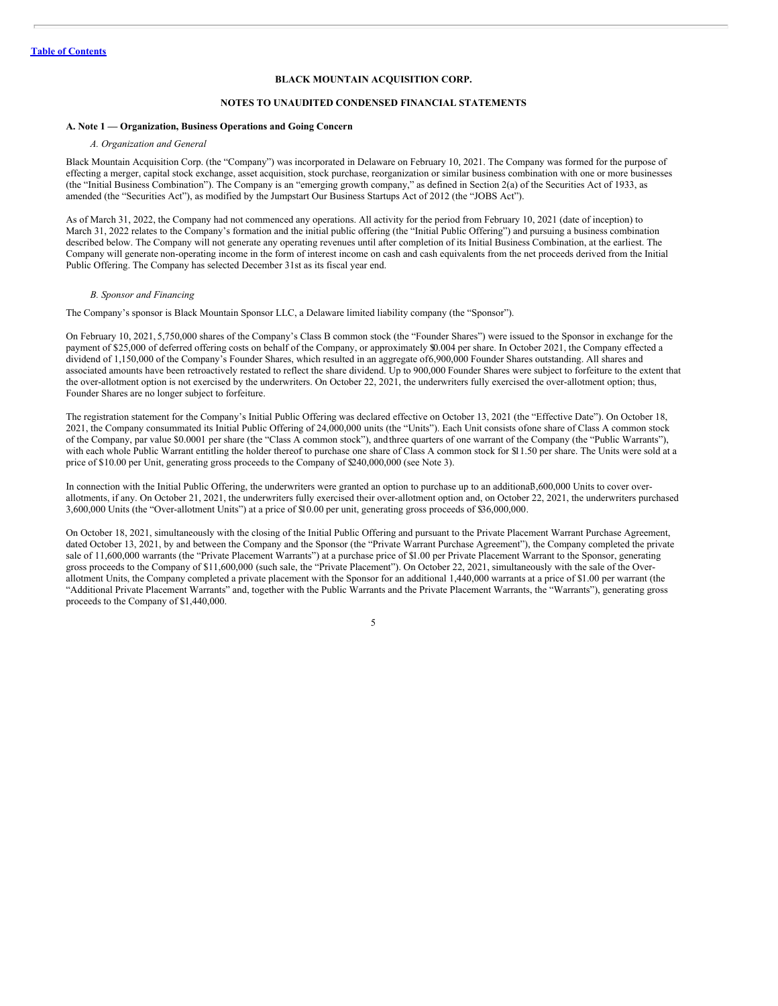### **BLACK MOUNTAIN ACQUISITION CORP.**

### **NOTES TO UNAUDITED CONDENSED FINANCIAL STATEMENTS**

### <span id="page-7-0"></span>**A. Note 1 — Organization, Business Operations and Going Concern**

### *A. Organization and General*

Black Mountain Acquisition Corp. (the "Company") was incorporated in Delaware on February 10, 2021. The Company was formed for the purpose of effecting a merger, capital stock exchange, asset acquisition, stock purchase, reorganization or similar business combination with one or more businesses (the "Initial Business Combination"). The Company is an "emerging growth company," as defined in Section 2(a) of the Securities Act of 1933, as amended (the "Securities Act"), as modified by the Jumpstart Our Business Startups Act of 2012 (the "JOBS Act").

As of March 31, 2022, the Company had not commenced any operations. All activity for the period from February 10, 2021 (date of inception) to March 31, 2022 relates to the Company's formation and the initial public offering (the "Initial Public Offering") and pursuing a business combination described below. The Company will not generate any operating revenues until after completion of its Initial Business Combination, at the earliest. The Company will generate non-operating income in the form of interest income on cash and cash equivalents from the net proceeds derived from the Initial Public Offering. The Company has selected December 31st as its fiscal year end.

### *B. Sponsor and Financing*

The Company's sponsor is Black Mountain Sponsor LLC, a Delaware limited liability company (the "Sponsor").

On February 10, 2021, 5,750,000 shares of the Company's Class B common stock (the "Founder Shares") were issued to the Sponsor in exchange for the payment of \$25,000 of deferred offering costs on behalf of the Company, or approximately \$0.004 per share. In October 2021, the Company effected a dividend of 1,150,000 of the Company's Founder Shares, which resulted in an aggregate of6,900,000 Founder Shares outstanding. All shares and associated amounts have been retroactively restated to reflect the share dividend. Up to 900,000 Founder Shares were subject to forfeiture to the extent that the over-allotment option is not exercised by the underwriters. On October 22, 2021, the underwriters fully exercised the over-allotment option; thus, Founder Shares are no longer subject to forfeiture.

The registration statement for the Company's Initial Public Offering was declared effective on October 13, 2021 (the "Effective Date"). On October 18, 2021, the Company consummated its Initial Public Offering of 24,000,000 units (the "Units"). Each Unit consists ofone share of Class A common stock of the Company, par value \$0.0001 per share (the "Class A common stock"), andthree quarters of one warrant of the Company (the "Public Warrants"), with each whole Public Warrant entitling the holder thereof to purchase one share of Class A common stock for \$11.50 per share. The Units were sold at a price of \$10.00 per Unit, generating gross proceeds to the Company of \$240,000,000 (see Note 3).

In connection with the Initial Public Offering, the underwriters were granted an option to purchase up to an additional 5,600,000 Units to cover overallotments, if any. On October 21, 2021, the underwriters fully exercised their over-allotment option and, on October 22, 2021, the underwriters purchased 3,600,000 Units (the "Over-allotment Units") at a price of \$10.00 per unit, generating gross proceeds of \$36,000,000.

On October 18, 2021, simultaneously with the closing of the Initial Public Offering and pursuant to the Private Placement Warrant Purchase Agreement, dated October 13, 2021, by and between the Company and the Sponsor (the "Private Warrant Purchase Agreement"), the Company completed the private sale of 11,600,000 warrants (the "Private Placement Warrants") at a purchase price of \$1.00 per Private Placement Warrant to the Sponsor, generating gross proceeds to the Company of \$11,600,000 (such sale, the "Private Placement"). On October 22, 2021, simultaneously with the sale of the Overallotment Units, the Company completed a private placement with the Sponsor for an additional 1,440,000 warrants at a price of \$1.00 per warrant (the "Additional Private Placement Warrants" and, together with the Public Warrants and the Private Placement Warrants, the "Warrants"), generating gross proceeds to the Company of \$1,440,000.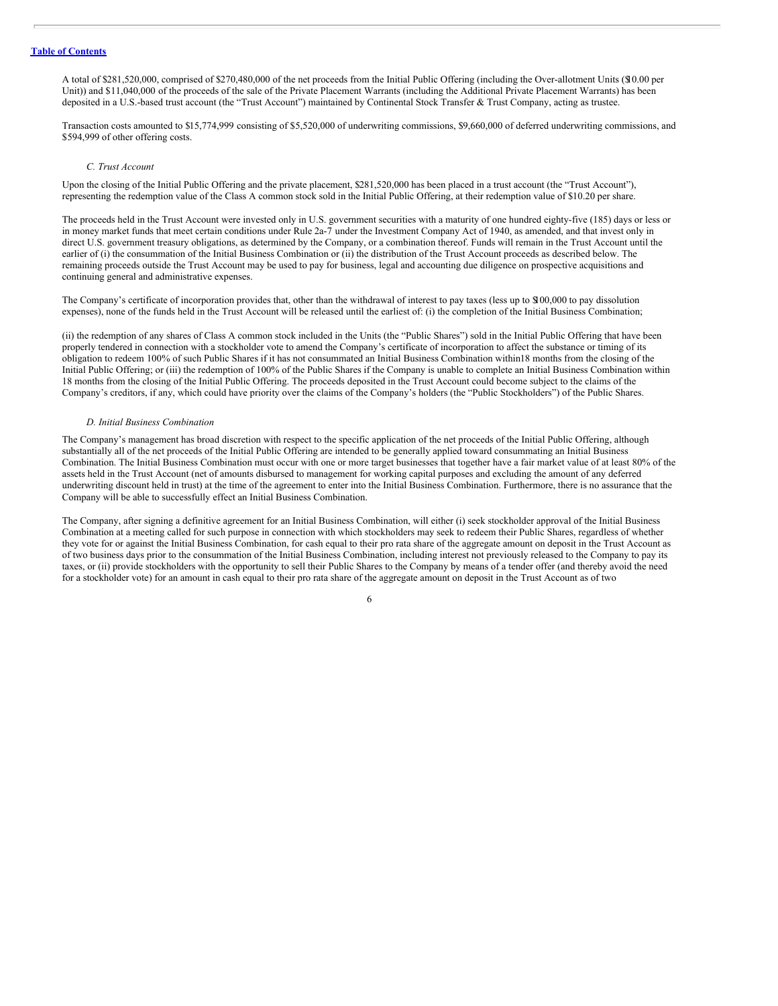A total of \$281,520,000, comprised of \$270,480,000 of the net proceeds from the Initial Public Offering (including the Over-allotment Units (\$10.00 per Unit)) and \$11,040,000 of the proceeds of the sale of the Private Placement Warrants (including the Additional Private Placement Warrants) has been deposited in a U.S.-based trust account (the "Trust Account") maintained by Continental Stock Transfer & Trust Company, acting as trustee.

Transaction costs amounted to \$15,774,999 consisting of \$5,520,000 of underwriting commissions, \$9,660,000 of deferred underwriting commissions, and \$594,999 of other offering costs.

### *C. Trust Account*

Upon the closing of the Initial Public Offering and the private placement, \$281,520,000 has been placed in a trust account (the "Trust Account"), representing the redemption value of the Class A common stock sold in the Initial Public Offering, at their redemption value of \$10.20 per share.

The proceeds held in the Trust Account were invested only in U.S. government securities with a maturity of one hundred eighty-five (185) days or less or in money market funds that meet certain conditions under Rule 2a-7 under the Investment Company Act of 1940, as amended, and that invest only in direct U.S. government treasury obligations, as determined by the Company, or a combination thereof. Funds will remain in the Trust Account until the earlier of (i) the consummation of the Initial Business Combination or (ii) the distribution of the Trust Account proceeds as described below. The remaining proceeds outside the Trust Account may be used to pay for business, legal and accounting due diligence on prospective acquisitions and continuing general and administrative expenses.

The Company's certificate of incorporation provides that, other than the withdrawal of interest to pay taxes (less up to \$100,000 to pay dissolution expenses), none of the funds held in the Trust Account will be released until the earliest of: (i) the completion of the Initial Business Combination;

(ii) the redemption of any shares of Class A common stock included in the Units (the "Public Shares") sold in the Initial Public Offering that have been properly tendered in connection with a stockholder vote to amend the Company's certificate of incorporation to affect the substance or timing of its obligation to redeem 100% of such Public Shares if it has not consummated an Initial Business Combination within18 months from the closing of the Initial Public Offering; or (iii) the redemption of 100% of the Public Shares if the Company is unable to complete an Initial Business Combination within 18 months from the closing of the Initial Public Offering. The proceeds deposited in the Trust Account could become subject to the claims of the Company's creditors, if any, which could have priority over the claims of the Company's holders (the "Public Stockholders") of the Public Shares.

#### *D. Initial Business Combination*

The Company's management has broad discretion with respect to the specific application of the net proceeds of the Initial Public Offering, although substantially all of the net proceeds of the Initial Public Offering are intended to be generally applied toward consummating an Initial Business Combination. The Initial Business Combination must occur with one or more target businesses that together have a fair market value of at least 80% of the assets held in the Trust Account (net of amounts disbursed to management for working capital purposes and excluding the amount of any deferred underwriting discount held in trust) at the time of the agreement to enter into the Initial Business Combination. Furthermore, there is no assurance that the Company will be able to successfully effect an Initial Business Combination.

The Company, after signing a definitive agreement for an Initial Business Combination, will either (i) seek stockholder approval of the Initial Business Combination at a meeting called for such purpose in connection with which stockholders may seek to redeem their Public Shares, regardless of whether they vote for or against the Initial Business Combination, for cash equal to their pro rata share of the aggregate amount on deposit in the Trust Account as of two business days prior to the consummation of the Initial Business Combination, including interest not previously released to the Company to pay its taxes, or (ii) provide stockholders with the opportunity to sell their Public Shares to the Company by means of a tender offer (and thereby avoid the need for a stockholder vote) for an amount in cash equal to their pro rata share of the aggregate amount on deposit in the Trust Account as of two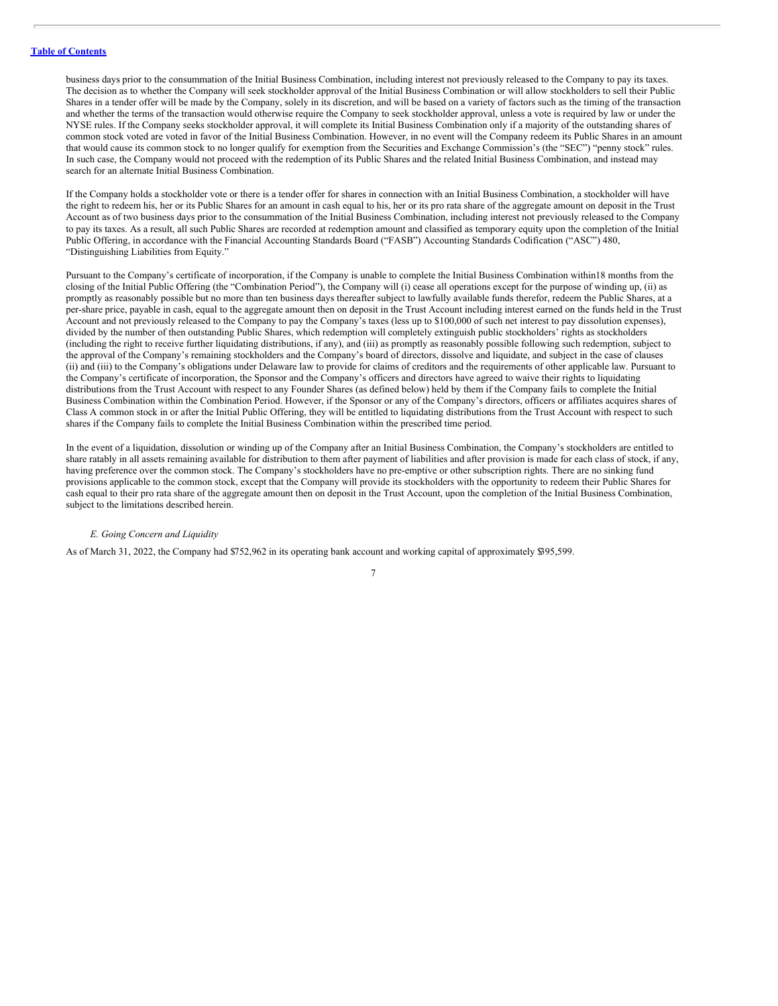business days prior to the consummation of the Initial Business Combination, including interest not previously released to the Company to pay its taxes. The decision as to whether the Company will seek stockholder approval of the Initial Business Combination or will allow stockholders to sell their Public Shares in a tender offer will be made by the Company, solely in its discretion, and will be based on a variety of factors such as the timing of the transaction and whether the terms of the transaction would otherwise require the Company to seek stockholder approval, unless a vote is required by law or under the NYSE rules. If the Company seeks stockholder approval, it will complete its Initial Business Combination only if a majority of the outstanding shares of common stock voted are voted in favor of the Initial Business Combination. However, in no event will the Company redeem its Public Shares in an amount that would cause its common stock to no longer qualify for exemption from the Securities and Exchange Commission's (the "SEC") "penny stock" rules. In such case, the Company would not proceed with the redemption of its Public Shares and the related Initial Business Combination, and instead may search for an alternate Initial Business Combination.

If the Company holds a stockholder vote or there is a tender offer for shares in connection with an Initial Business Combination, a stockholder will have the right to redeem his, her or its Public Shares for an amount in cash equal to his, her or its pro rata share of the aggregate amount on deposit in the Trust Account as of two business days prior to the consummation of the Initial Business Combination, including interest not previously released to the Company to pay its taxes. As a result, all such Public Shares are recorded at redemption amount and classified as temporary equity upon the completion of the Initial Public Offering, in accordance with the Financial Accounting Standards Board ("FASB") Accounting Standards Codification ("ASC") 480, "Distinguishing Liabilities from Equity."

Pursuant to the Company's certificate of incorporation, if the Company is unable to complete the Initial Business Combination within18 months from the closing of the Initial Public Offering (the "Combination Period"), the Company will (i) cease all operations except for the purpose of winding up, (ii) as promptly as reasonably possible but no more than ten business days thereafter subject to lawfully available funds therefor, redeem the Public Shares, at a per-share price, payable in cash, equal to the aggregate amount then on deposit in the Trust Account including interest earned on the funds held in the Trust Account and not previously released to the Company to pay the Company's taxes (less up to \$100,000 of such net interest to pay dissolution expenses), divided by the number of then outstanding Public Shares, which redemption will completely extinguish public stockholders' rights as stockholders (including the right to receive further liquidating distributions, if any), and (iii) as promptly as reasonably possible following such redemption, subject to the approval of the Company's remaining stockholders and the Company's board of directors, dissolve and liquidate, and subject in the case of clauses (ii) and (iii) to the Company's obligations under Delaware law to provide for claims of creditors and the requirements of other applicable law. Pursuant to the Company's certificate of incorporation, the Sponsor and the Company's officers and directors have agreed to waive their rights to liquidating distributions from the Trust Account with respect to any Founder Shares (as defined below) held by them if the Company fails to complete the Initial Business Combination within the Combination Period. However, if the Sponsor or any of the Company's directors, officers or affiliates acquires shares of Class A common stock in or after the Initial Public Offering, they will be entitled to liquidating distributions from the Trust Account with respect to such shares if the Company fails to complete the Initial Business Combination within the prescribed time period.

In the event of a liquidation, dissolution or winding up of the Company after an Initial Business Combination, the Company's stockholders are entitled to share ratably in all assets remaining available for distribution to them after payment of liabilities and after provision is made for each class of stock, if any, having preference over the common stock. The Company's stockholders have no pre-emptive or other subscription rights. There are no sinking fund provisions applicable to the common stock, except that the Company will provide its stockholders with the opportunity to redeem their Public Shares for cash equal to their pro rata share of the aggregate amount then on deposit in the Trust Account, upon the completion of the Initial Business Combination, subject to the limitations described herein.

### *E. Going Concern and Liquidity*

As of March 31, 2022, the Company had \$752,962 in its operating bank account and working capital of approximately \$395,599.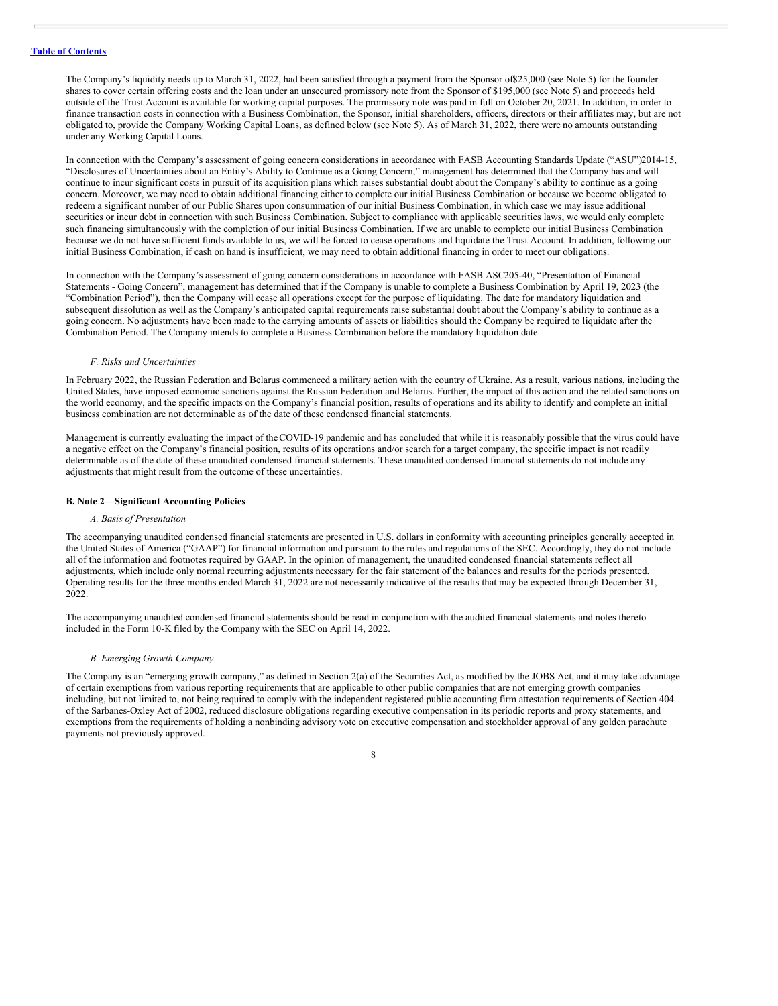The Company's liquidity needs up to March 31, 2022, had been satisfied through a payment from the Sponsor of\$25,000 (see Note 5) for the founder shares to cover certain offering costs and the loan under an unsecured promissory note from the Sponsor of \$195,000 (see Note 5) and proceeds held outside of the Trust Account is available for working capital purposes. The promissory note was paid in full on October 20, 2021. In addition, in order to finance transaction costs in connection with a Business Combination, the Sponsor, initial shareholders, officers, directors or their affiliates may, but are not obligated to, provide the Company Working Capital Loans, as defined below (see Note 5). As of March 31, 2022, there were no amounts outstanding under any Working Capital Loans.

In connection with the Company's assessment of going concern considerations in accordance with FASB Accounting Standards Update ("ASU")2014-15, "Disclosures of Uncertainties about an Entity's Ability to Continue as a Going Concern," management has determined that the Company has and will continue to incur significant costs in pursuit of its acquisition plans which raises substantial doubt about the Company's ability to continue as a going concern. Moreover, we may need to obtain additional financing either to complete our initial Business Combination or because we become obligated to redeem a significant number of our Public Shares upon consummation of our initial Business Combination, in which case we may issue additional securities or incur debt in connection with such Business Combination. Subject to compliance with applicable securities laws, we would only complete such financing simultaneously with the completion of our initial Business Combination. If we are unable to complete our initial Business Combination because we do not have sufficient funds available to us, we will be forced to cease operations and liquidate the Trust Account. In addition, following our initial Business Combination, if cash on hand is insufficient, we may need to obtain additional financing in order to meet our obligations.

In connection with the Company's assessment of going concern considerations in accordance with FASB ASC205-40, "Presentation of Financial Statements - Going Concern", management has determined that if the Company is unable to complete a Business Combination by April 19, 2023 (the "Combination Period"), then the Company will cease all operations except for the purpose of liquidating. The date for mandatory liquidation and subsequent dissolution as well as the Company's anticipated capital requirements raise substantial doubt about the Company's ability to continue as a going concern. No adjustments have been made to the carrying amounts of assets or liabilities should the Company be required to liquidate after the Combination Period. The Company intends to complete a Business Combination before the mandatory liquidation date.

### *F. Risks and Uncertainties*

In February 2022, the Russian Federation and Belarus commenced a military action with the country of Ukraine. As a result, various nations, including the United States, have imposed economic sanctions against the Russian Federation and Belarus. Further, the impact of this action and the related sanctions on the world economy, and the specific impacts on the Company's financial position, results of operations and its ability to identify and complete an initial business combination are not determinable as of the date of these condensed financial statements.

Management is currently evaluating the impact of theCOVID-19 pandemic and has concluded that while it is reasonably possible that the virus could have a negative effect on the Company's financial position, results of its operations and/or search for a target company, the specific impact is not readily determinable as of the date of these unaudited condensed financial statements. These unaudited condensed financial statements do not include any adjustments that might result from the outcome of these uncertainties.

### **B. Note 2—Significant Accounting Policies**

### *A. Basis of Presentation*

The accompanying unaudited condensed financial statements are presented in U.S. dollars in conformity with accounting principles generally accepted in the United States of America ("GAAP") for financial information and pursuant to the rules and regulations of the SEC. Accordingly, they do not include all of the information and footnotes required by GAAP. In the opinion of management, the unaudited condensed financial statements reflect all adjustments, which include only normal recurring adjustments necessary for the fair statement of the balances and results for the periods presented. Operating results for the three months ended March 31, 2022 are not necessarily indicative of the results that may be expected through December 31, 2022.

The accompanying unaudited condensed financial statements should be read in conjunction with the audited financial statements and notes thereto included in the Form 10-K filed by the Company with the SEC on April 14, 2022.

### *B. Emerging Growth Company*

The Company is an "emerging growth company," as defined in Section 2(a) of the Securities Act, as modified by the JOBS Act, and it may take advantage of certain exemptions from various reporting requirements that are applicable to other public companies that are not emerging growth companies including, but not limited to, not being required to comply with the independent registered public accounting firm attestation requirements of Section 404 of the Sarbanes-Oxley Act of 2002, reduced disclosure obligations regarding executive compensation in its periodic reports and proxy statements, and exemptions from the requirements of holding a nonbinding advisory vote on executive compensation and stockholder approval of any golden parachute payments not previously approved.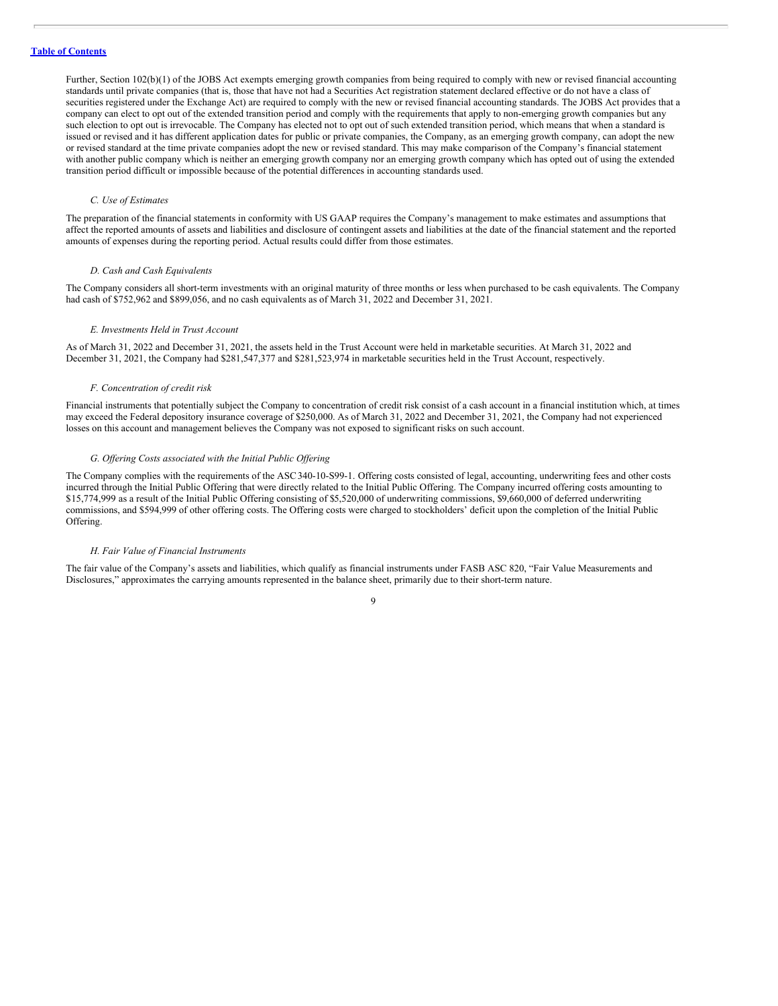Further, Section 102(b)(1) of the JOBS Act exempts emerging growth companies from being required to comply with new or revised financial accounting standards until private companies (that is, those that have not had a Securities Act registration statement declared effective or do not have a class of securities registered under the Exchange Act) are required to comply with the new or revised financial accounting standards. The JOBS Act provides that a company can elect to opt out of the extended transition period and comply with the requirements that apply to non-emerging growth companies but any such election to opt out is irrevocable. The Company has elected not to opt out of such extended transition period, which means that when a standard is issued or revised and it has different application dates for public or private companies, the Company, as an emerging growth company, can adopt the new or revised standard at the time private companies adopt the new or revised standard. This may make comparison of the Company's financial statement with another public company which is neither an emerging growth company nor an emerging growth company which has opted out of using the extended transition period difficult or impossible because of the potential differences in accounting standards used.

### *C. Use of Estimates*

The preparation of the financial statements in conformity with US GAAP requires the Company's management to make estimates and assumptions that affect the reported amounts of assets and liabilities and disclosure of contingent assets and liabilities at the date of the financial statement and the reported amounts of expenses during the reporting period. Actual results could differ from those estimates.

### *D. Cash and Cash Equivalents*

The Company considers all short-term investments with an original maturity of three months or less when purchased to be cash equivalents. The Company had cash of \$752,962 and \$899,056, and no cash equivalents as of March 31, 2022 and December 31, 2021.

### *E. Investments Held in Trust Account*

As of March 31, 2022 and December 31, 2021, the assets held in the Trust Account were held in marketable securities. At March 31, 2022 and December 31, 2021, the Company had \$281,547,377 and \$281,523,974 in marketable securities held in the Trust Account, respectively.

### *F. Concentration of credit risk*

Financial instruments that potentially subject the Company to concentration of credit risk consist of a cash account in a financial institution which, at times may exceed the Federal depository insurance coverage of \$250,000. As of March 31, 2022 and December 31, 2021, the Company had not experienced losses on this account and management believes the Company was not exposed to significant risks on such account.

### *G. Of ering Costs associated with the Initial Public Of ering*

The Company complies with the requirements of the ASC340-10-S99-1. Offering costs consisted of legal, accounting, underwriting fees and other costs incurred through the Initial Public Offering that were directly related to the Initial Public Offering. The Company incurred offering costs amounting to \$15,774,999 as a result of the Initial Public Offering consisting of \$5,520,000 of underwriting commissions, \$9,660,000 of deferred underwriting commissions, and \$594,999 of other offering costs. The Offering costs were charged to stockholders' deficit upon the completion of the Initial Public Offering.

### *H. Fair Value of Financial Instruments*

The fair value of the Company's assets and liabilities, which qualify as financial instruments under FASB ASC 820, "Fair Value Measurements and Disclosures," approximates the carrying amounts represented in the balance sheet, primarily due to their short-term nature.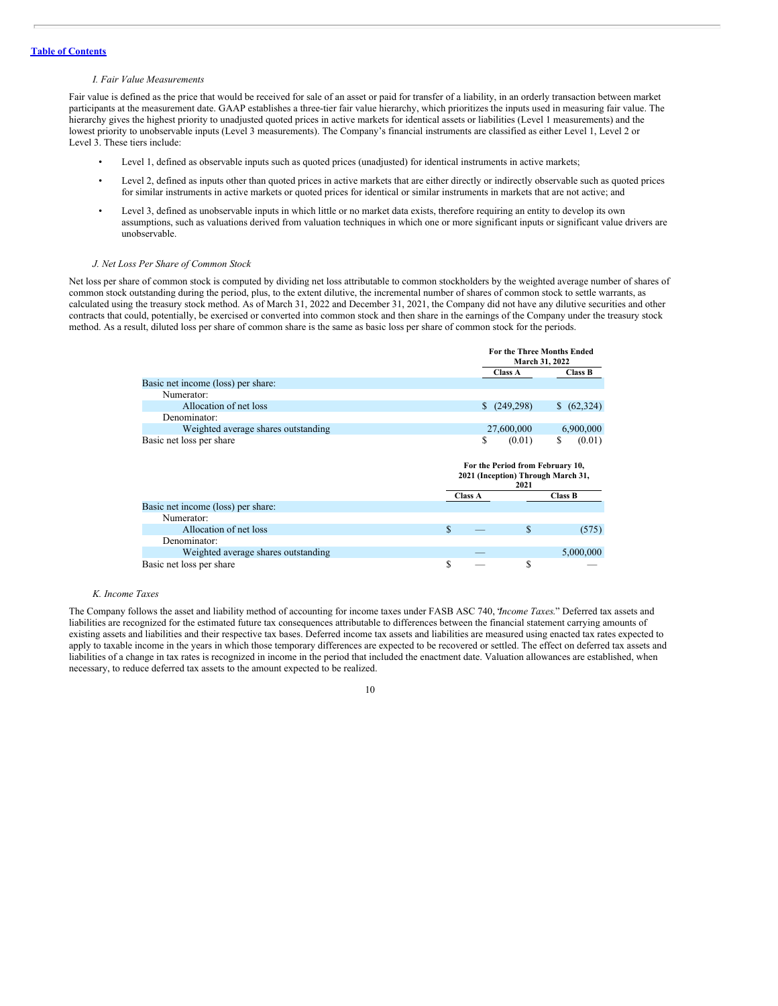#### *I. Fair Value Measurements*

Fair value is defined as the price that would be received for sale of an asset or paid for transfer of a liability, in an orderly transaction between market participants at the measurement date. GAAP establishes a three-tier fair value hierarchy, which prioritizes the inputs used in measuring fair value. The hierarchy gives the highest priority to unadjusted quoted prices in active markets for identical assets or liabilities (Level 1 measurements) and the lowest priority to unobservable inputs (Level 3 measurements). The Company's financial instruments are classified as either Level 1, Level 2 or Level 3. These tiers include:

- Level 1, defined as observable inputs such as quoted prices (unadjusted) for identical instruments in active markets;
- Level 2, defined as inputs other than quoted prices in active markets that are either directly or indirectly observable such as quoted prices for similar instruments in active markets or quoted prices for identical or similar instruments in markets that are not active; and
- Level 3, defined as unobservable inputs in which little or no market data exists, therefore requiring an entity to develop its own assumptions, such as valuations derived from valuation techniques in which one or more significant inputs or significant value drivers are unobservable.

### *J. Net Loss Per Share of Common Stock*

Net loss per share of common stock is computed by dividing net loss attributable to common stockholders by the weighted average number of shares of common stock outstanding during the period, plus, to the extent dilutive, the incremental number of shares of common stock to settle warrants, as calculated using the treasury stock method. As of March 31, 2022 and December 31, 2021, the Company did not have any dilutive securities and other contracts that could, potentially, be exercised or converted into common stock and then share in the earnings of the Company under the treasury stock method. As a result, diluted loss per share of common share is the same as basic loss per share of common stock for the periods.

**For the Three Months Ended**

|                                     |         | FULLE THE CENTRIFIES PHYCH<br>March 31, 2022 |                                    |  |
|-------------------------------------|---------|----------------------------------------------|------------------------------------|--|
|                                     |         | <b>Class A</b>                               | Class B                            |  |
| Basic net income (loss) per share:  |         |                                              |                                    |  |
| Numerator:                          |         |                                              |                                    |  |
| Allocation of net loss              |         | (249,298)                                    | (62,324)                           |  |
| Denominator:                        |         |                                              |                                    |  |
| Weighted average shares outstanding |         | 27,600,000                                   | 6,900,000                          |  |
| Basic net loss per share            | \$      | (0.01)                                       | \$<br>(0.01)                       |  |
|                                     |         | For the Period from February 10,<br>2021     | 2021 (Inception) Through March 31, |  |
|                                     | Class A |                                              | <b>Class B</b>                     |  |
|                                     |         |                                              |                                    |  |
| Basic net income (loss) per share:  |         |                                              |                                    |  |
| Numerator:                          |         |                                              |                                    |  |
| Allocation of net loss              | \$.     | \$                                           | (575)                              |  |
| Denominator:                        |         |                                              |                                    |  |
| Weighted average shares outstanding |         |                                              | 5,000,000                          |  |

### *K. Income Taxes*

The Company follows the asset and liability method of accounting for income taxes under FASB ASC 740, "*Income Taxes*." Deferred tax assets and liabilities are recognized for the estimated future tax consequences attributable to differences between the financial statement carrying amounts of existing assets and liabilities and their respective tax bases. Deferred income tax assets and liabilities are measured using enacted tax rates expected to apply to taxable income in the years in which those temporary differences are expected to be recovered or settled. The effect on deferred tax assets and liabilities of a change in tax rates is recognized in income in the period that included the enactment date. Valuation allowances are established, when necessary, to reduce deferred tax assets to the amount expected to be realized.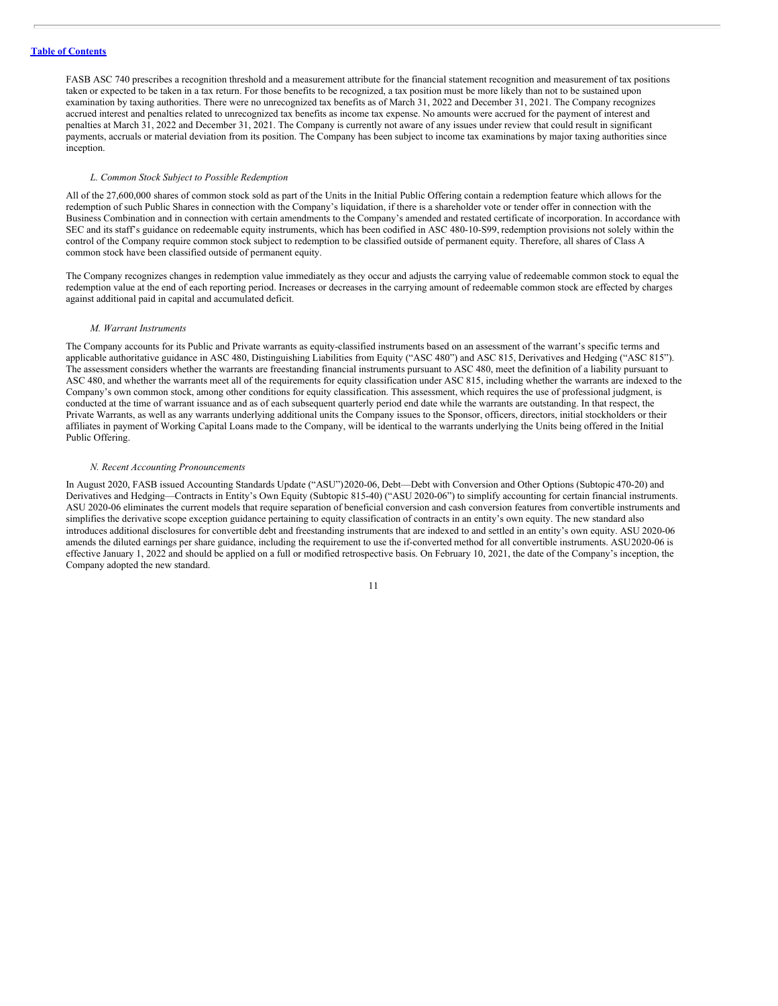FASB ASC 740 prescribes a recognition threshold and a measurement attribute for the financial statement recognition and measurement of tax positions taken or expected to be taken in a tax return. For those benefits to be recognized, a tax position must be more likely than not to be sustained upon examination by taxing authorities. There were no unrecognized tax benefits as of March 31, 2022 and December 31, 2021. The Company recognizes accrued interest and penalties related to unrecognized tax benefits as income tax expense. No amounts were accrued for the payment of interest and penalties at March 31, 2022 and December 31, 2021. The Company is currently not aware of any issues under review that could result in significant payments, accruals or material deviation from its position. The Company has been subject to income tax examinations by major taxing authorities since inception.

### *L. Common Stock Subject to Possible Redemption*

All of the 27,600,000 shares of common stock sold as part of the Units in the Initial Public Offering contain a redemption feature which allows for the redemption of such Public Shares in connection with the Company's liquidation, if there is a shareholder vote or tender offer in connection with the Business Combination and in connection with certain amendments to the Company's amended and restated certificate of incorporation. In accordance with SEC and its staff's guidance on redeemable equity instruments, which has been codified in ASC 480-10-S99, redemption provisions not solely within the control of the Company require common stock subject to redemption to be classified outside of permanent equity. Therefore, all shares of Class A common stock have been classified outside of permanent equity.

The Company recognizes changes in redemption value immediately as they occur and adjusts the carrying value of redeemable common stock to equal the redemption value at the end of each reporting period. Increases or decreases in the carrying amount of redeemable common stock are effected by charges against additional paid in capital and accumulated deficit.

### *M. Warrant Instruments*

The Company accounts for its Public and Private warrants as equity-classified instruments based on an assessment of the warrant's specific terms and applicable authoritative guidance in ASC 480, Distinguishing Liabilities from Equity ("ASC 480") and ASC 815, Derivatives and Hedging ("ASC 815"). The assessment considers whether the warrants are freestanding financial instruments pursuant to ASC 480, meet the definition of a liability pursuant to ASC 480, and whether the warrants meet all of the requirements for equity classification under ASC 815, including whether the warrants are indexed to the Company's own common stock, among other conditions for equity classification. This assessment, which requires the use of professional judgment, is conducted at the time of warrant issuance and as of each subsequent quarterly period end date while the warrants are outstanding. In that respect, the Private Warrants, as well as any warrants underlying additional units the Company issues to the Sponsor, officers, directors, initial stockholders or their affiliates in payment of Working Capital Loans made to the Company, will be identical to the warrants underlying the Units being offered in the Initial Public Offering.

### *N. Recent Accounting Pronouncements*

In August 2020, FASB issued Accounting Standards Update ("ASU")2020-06, Debt—Debt with Conversion and Other Options (Subtopic 470-20) and Derivatives and Hedging—Contracts in Entity's Own Equity (Subtopic 815-40) ("ASU 2020-06") to simplify accounting for certain financial instruments. ASU 2020-06 eliminates the current models that require separation of beneficial conversion and cash conversion features from convertible instruments and simplifies the derivative scope exception guidance pertaining to equity classification of contracts in an entity's own equity. The new standard also introduces additional disclosures for convertible debt and freestanding instruments that are indexed to and settled in an entity's own equity. ASU 2020-06 amends the diluted earnings per share guidance, including the requirement to use the if-converted method for all convertible instruments. ASU2020-06 is effective January 1, 2022 and should be applied on a full or modified retrospective basis. On February 10, 2021, the date of the Company's inception, the Company adopted the new standard.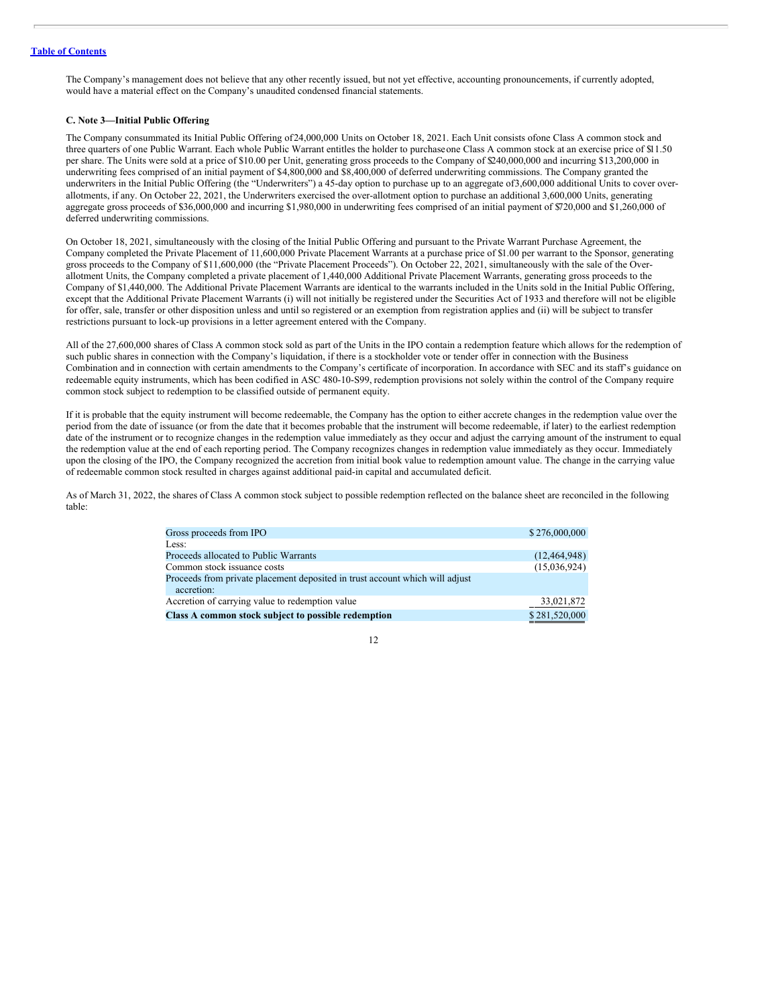The Company's management does not believe that any other recently issued, but not yet effective, accounting pronouncements, if currently adopted, would have a material effect on the Company's unaudited condensed financial statements.

### **C. Note 3—Initial Public Offering**

The Company consummated its Initial Public Offering of24,000,000 Units on October 18, 2021. Each Unit consists ofone Class A common stock and three quarters of one Public Warrant. Each whole Public Warrant entitles the holder to purchaseone Class A common stock at an exercise price of \$11.50 per share. The Units were sold at a price of \$10.00 per Unit, generating gross proceeds to the Company of \$240,000,000 and incurring \$13,200,000 in underwriting fees comprised of an initial payment of \$4,800,000 and \$8,400,000 of deferred underwriting commissions. The Company granted the underwriters in the Initial Public Offering (the "Underwriters") a 45-day option to purchase up to an aggregate of3,600,000 additional Units to cover overallotments, if any. On October 22, 2021, the Underwriters exercised the over-allotment option to purchase an additional 3,600,000 Units, generating aggregate gross proceeds of \$36,000,000 and incurring \$1,980,000 in underwriting fees comprised of an initial payment of \$720,000 and \$1,260,000 of deferred underwriting commissions.

On October 18, 2021, simultaneously with the closing of the Initial Public Offering and pursuant to the Private Warrant Purchase Agreement, the Company completed the Private Placement of 11,600,000 Private Placement Warrants at a purchase price of \$1.00 per warrant to the Sponsor, generating gross proceeds to the Company of \$11,600,000 (the "Private Placement Proceeds"). On October 22, 2021, simultaneously with the sale of the Overallotment Units, the Company completed a private placement of 1,440,000 Additional Private Placement Warrants, generating gross proceeds to the Company of \$1,440,000. The Additional Private Placement Warrants are identical to the warrants included in the Units sold in the Initial Public Offering, except that the Additional Private Placement Warrants (i) will not initially be registered under the Securities Act of 1933 and therefore will not be eligible for offer, sale, transfer or other disposition unless and until so registered or an exemption from registration applies and (ii) will be subject to transfer restrictions pursuant to lock-up provisions in a letter agreement entered with the Company.

All of the 27,600,000 shares of Class A common stock sold as part of the Units in the IPO contain a redemption feature which allows for the redemption of such public shares in connection with the Company's liquidation, if there is a stockholder vote or tender offer in connection with the Business Combination and in connection with certain amendments to the Company's certificate of incorporation. In accordance with SEC and its staff's guidance on redeemable equity instruments, which has been codified in ASC 480-10-S99, redemption provisions not solely within the control of the Company require common stock subject to redemption to be classified outside of permanent equity.

If it is probable that the equity instrument will become redeemable, the Company has the option to either accrete changes in the redemption value over the period from the date of issuance (or from the date that it becomes probable that the instrument will become redeemable, if later) to the earliest redemption date of the instrument or to recognize changes in the redemption value immediately as they occur and adjust the carrying amount of the instrument to equal the redemption value at the end of each reporting period. The Company recognizes changes in redemption value immediately as they occur. Immediately upon the closing of the IPO, the Company recognized the accretion from initial book value to redemption amount value. The change in the carrying value of redeemable common stock resulted in charges against additional paid-in capital and accumulated deficit.

As of March 31, 2022, the shares of Class A common stock subject to possible redemption reflected on the balance sheet are reconciled in the following table:

| Gross proceeds from IPO                                                      | \$276,000,000  |
|------------------------------------------------------------------------------|----------------|
| Less:                                                                        |                |
| Proceeds allocated to Public Warrants                                        | (12, 464, 948) |
| Common stock issuance costs                                                  | (15,036,924)   |
| Proceeds from private placement deposited in trust account which will adjust |                |
| accretion:                                                                   |                |
| Accretion of carrying value to redemption value                              | 33,021,872     |
| Class A common stock subject to possible redemption                          | \$281,520,000  |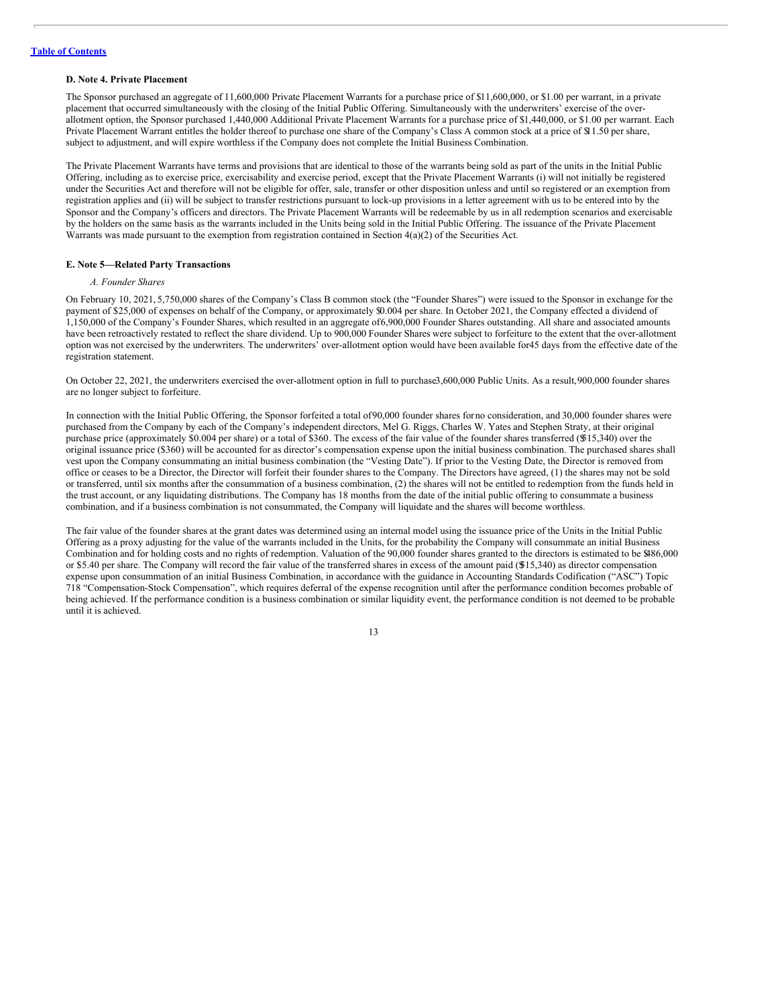#### **D. Note 4. Private Placement**

The Sponsor purchased an aggregate of 11,600,000 Private Placement Warrants for a purchase price of \$11,600,000, or \$1.00 per warrant, in a private placement that occurred simultaneously with the closing of the Initial Public Offering. Simultaneously with the underwriters' exercise of the overallotment option, the Sponsor purchased 1,440,000 Additional Private Placement Warrants for a purchase price of \$1,440,000, or \$1.00 per warrant. Each Private Placement Warrant entitles the holder thereof to purchase one share of the Company's Class A common stock at a price of \$1.50 per share, subject to adjustment, and will expire worthless if the Company does not complete the Initial Business Combination.

The Private Placement Warrants have terms and provisions that are identical to those of the warrants being sold as part of the units in the Initial Public Offering, including as to exercise price, exercisability and exercise period, except that the Private Placement Warrants (i) will not initially be registered under the Securities Act and therefore will not be eligible for offer, sale, transfer or other disposition unless and until so registered or an exemption from registration applies and (ii) will be subject to transfer restrictions pursuant to lock-up provisions in a letter agreement with us to be entered into by the Sponsor and the Company's officers and directors. The Private Placement Warrants will be redeemable by us in all redemption scenarios and exercisable by the holders on the same basis as the warrants included in the Units being sold in the Initial Public Offering. The issuance of the Private Placement Warrants was made pursuant to the exemption from registration contained in Section  $4(a)(2)$  of the Securities Act.

### **E. Note 5—Related Party Transactions**

### *A. Founder Shares*

On February 10, 2021, 5,750,000 shares of the Company's Class B common stock (the "Founder Shares") were issued to the Sponsor in exchange for the payment of \$25,000 of expenses on behalf of the Company, or approximately \$0.004 per share. In October 2021, the Company effected a dividend of 1,150,000 of the Company's Founder Shares, which resulted in an aggregate of6,900,000 Founder Shares outstanding. All share and associated amounts have been retroactively restated to reflect the share dividend. Up to 900,000 Founder Shares were subject to forfeiture to the extent that the over-allotment option was not exercised by the underwriters. The underwriters' over-allotment option would have been available for45 days from the effective date of the registration statement.

On October 22, 2021, the underwriters exercised the over-allotment option in full to purchase3,600,000 Public Units. As a result,900,000 founder shares are no longer subject to forfeiture.

In connection with the Initial Public Offering, the Sponsor forfeited a total of90,000 founder shares forno consideration, and 30,000 founder shares were purchased from the Company by each of the Company's independent directors, Mel G. Riggs, Charles W. Yates and Stephen Straty, at their original purchase price (approximately \$0.004 per share) or a total of \$360. The excess of the fair value of the founder shares transferred (\$515,340) over the original issuance price (\$360) will be accounted for as director's compensation expense upon the initial business combination. The purchased shares shall vest upon the Company consummating an initial business combination (the "Vesting Date"). If prior to the Vesting Date, the Director is removed from office or ceases to be a Director, the Director will forfeit their founder shares to the Company. The Directors have agreed, (1) the shares may not be sold or transferred, until six months after the consummation of a business combination, (2) the shares will not be entitled to redemption from the funds held in the trust account, or any liquidating distributions. The Company has 18 months from the date of the initial public offering to consummate a business combination, and if a business combination is not consummated, the Company will liquidate and the shares will become worthless.

The fair value of the founder shares at the grant dates was determined using an internal model using the issuance price of the Units in the Initial Public Offering as a proxy adjusting for the value of the warrants included in the Units, for the probability the Company will consummate an initial Business Combination and for holding costs and no rights of redemption. Valuation of the 90,000 founder shares granted to the directors is estimated to be \$486,000 or \$5.40 per share. The Company will record the fair value of the transferred shares in excess of the amount paid (\$515,340) as director compensation expense upon consummation of an initial Business Combination, in accordance with the guidance in Accounting Standards Codification ("ASC") Topic 718 "Compensation-Stock Compensation", which requires deferral of the expense recognition until after the performance condition becomes probable of being achieved. If the performance condition is a business combination or similar liquidity event, the performance condition is not deemed to be probable until it is achieved.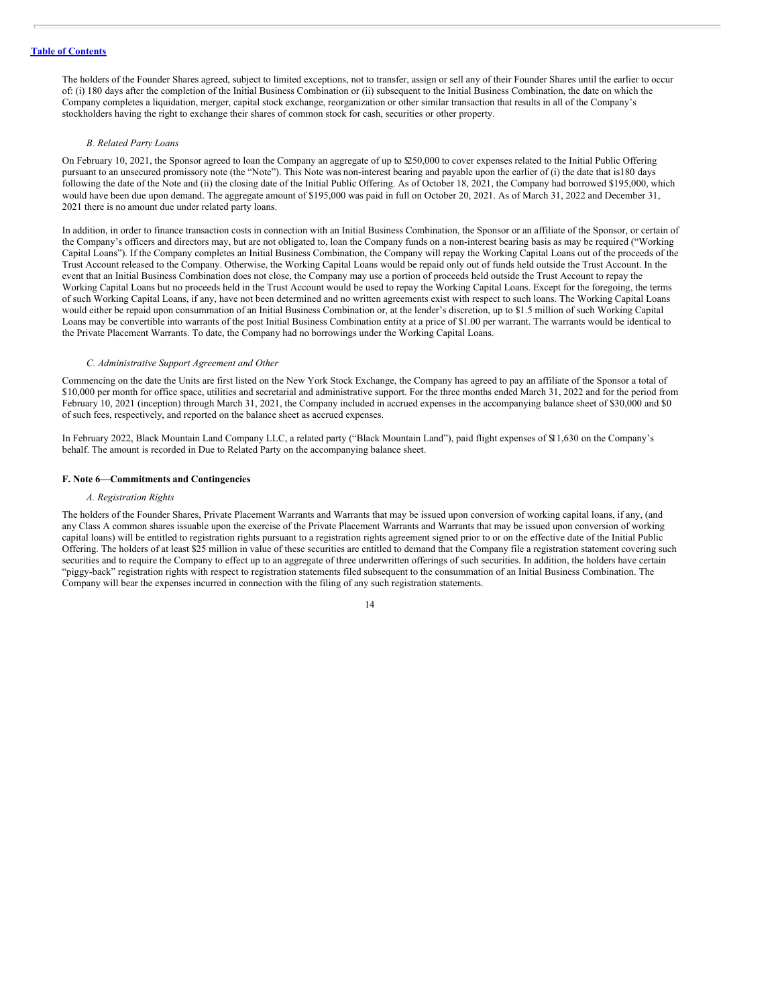The holders of the Founder Shares agreed, subject to limited exceptions, not to transfer, assign or sell any of their Founder Shares until the earlier to occur of: (i) 180 days after the completion of the Initial Business Combination or (ii) subsequent to the Initial Business Combination, the date on which the Company completes a liquidation, merger, capital stock exchange, reorganization or other similar transaction that results in all of the Company's stockholders having the right to exchange their shares of common stock for cash, securities or other property.

### *B. Related Party Loans*

On February 10, 2021, the Sponsor agreed to loan the Company an aggregate of up to \$250,000 to cover expenses related to the Initial Public Offering pursuant to an unsecured promissory note (the "Note"). This Note was non-interest bearing and payable upon the earlier of (i) the date that is180 days following the date of the Note and (ii) the closing date of the Initial Public Offering. As of October 18, 2021, the Company had borrowed \$195,000, which would have been due upon demand. The aggregate amount of \$195,000 was paid in full on October 20, 2021. As of March 31, 2022 and December 31, 2021 there is no amount due under related party loans.

In addition, in order to finance transaction costs in connection with an Initial Business Combination, the Sponsor or an affiliate of the Sponsor, or certain of the Company's officers and directors may, but are not obligated to, loan the Company funds on a non-interest bearing basis as may be required ("Working Capital Loans"). If the Company completes an Initial Business Combination, the Company will repay the Working Capital Loans out of the proceeds of the Trust Account released to the Company. Otherwise, the Working Capital Loans would be repaid only out of funds held outside the Trust Account. In the event that an Initial Business Combination does not close, the Company may use a portion of proceeds held outside the Trust Account to repay the Working Capital Loans but no proceeds held in the Trust Account would be used to repay the Working Capital Loans. Except for the foregoing, the terms of such Working Capital Loans, if any, have not been determined and no written agreements exist with respect to such loans. The Working Capital Loans would either be repaid upon consummation of an Initial Business Combination or, at the lender's discretion, up to \$1.5 million of such Working Capital Loans may be convertible into warrants of the post Initial Business Combination entity at a price of \$1.00 per warrant. The warrants would be identical to the Private Placement Warrants. To date, the Company had no borrowings under the Working Capital Loans.

### *C. Administrative Support Agreement and Other*

Commencing on the date the Units are first listed on the New York Stock Exchange, the Company has agreed to pay an affiliate of the Sponsor a total of \$10,000 per month for office space, utilities and secretarial and administrative support. For the three months ended March 31, 2022 and for the period from February 10, 2021 (inception) through March 31, 2021, the Company included in accrued expenses in the accompanying balance sheet of \$30,000 and \$0 of such fees, respectively, and reported on the balance sheet as accrued expenses.

In February 2022, Black Mountain Land Company LLC, a related party ("Black Mountain Land"), paid flight expenses of \$11,630 on the Company's behalf. The amount is recorded in Due to Related Party on the accompanying balance sheet.

### **F. Note 6—Commitments and Contingencies**

### *A. Registration Rights*

The holders of the Founder Shares, Private Placement Warrants and Warrants that may be issued upon conversion of working capital loans, if any, (and any Class A common shares issuable upon the exercise of the Private Placement Warrants and Warrants that may be issued upon conversion of working capital loans) will be entitled to registration rights pursuant to a registration rights agreement signed prior to or on the effective date of the Initial Public Offering. The holders of at least \$25 million in value of these securities are entitled to demand that the Company file a registration statement covering such securities and to require the Company to effect up to an aggregate of three underwritten offerings of such securities. In addition, the holders have certain "piggy-back" registration rights with respect to registration statements filed subsequent to the consummation of an Initial Business Combination. The Company will bear the expenses incurred in connection with the filing of any such registration statements.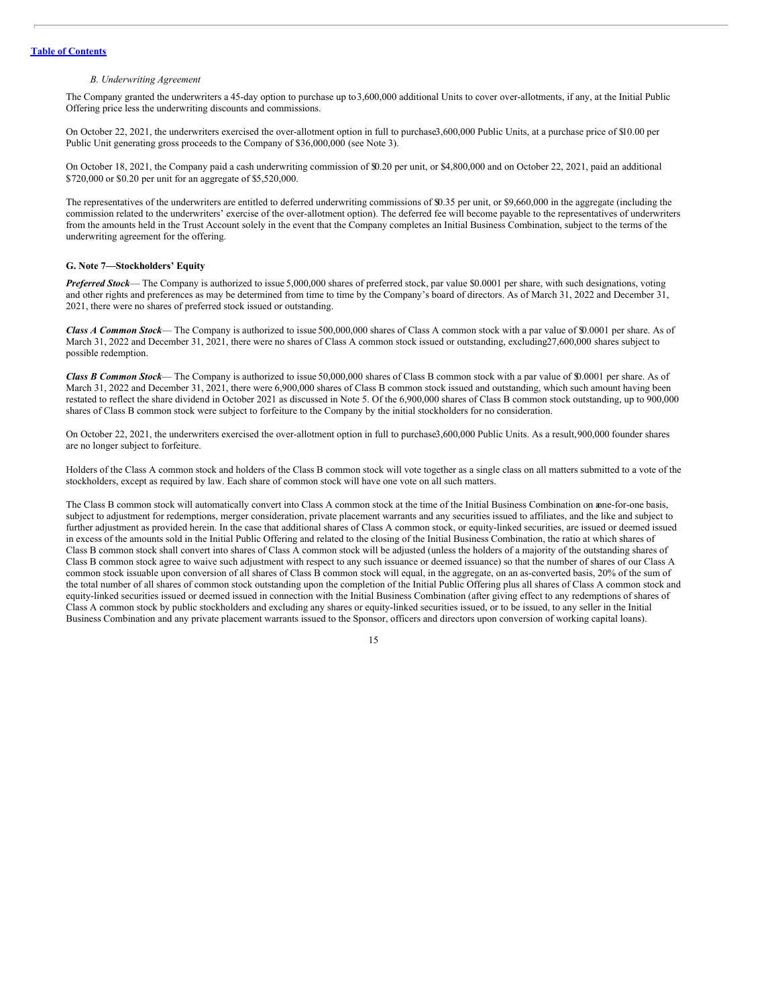#### *B. Underwriting Agreement*

The Company granted the underwriters a 45-day option to purchase up to3,600,000 additional Units to cover over-allotments, if any, at the Initial Public Offering price less the underwriting discounts and commissions.

On October 22, 2021, the underwriters exercised the over-allotment option in full to purchase3,600,000 Public Units, at a purchase price of \$10.00 per Public Unit generating gross proceeds to the Company of \$36,000,000 (see Note 3).

On October 18, 2021, the Company paid a cash underwriting commission of \$0.20 per unit, or \$4,800,000 and on October 22, 2021, paid an additional \$720,000 or \$0.20 per unit for an aggregate of \$5,520,000.

The representatives of the underwriters are entitled to deferred underwriting commissions of \$0.35 per unit, or \$9,660,000 in the aggregate (including the commission related to the underwriters' exercise of the over-allotment option). The deferred fee will become payable to the representatives of underwriters from the amounts held in the Trust Account solely in the event that the Company completes an Initial Business Combination, subject to the terms of the underwriting agreement for the offering.

### **G. Note 7—Stockholders' Equity**

*Preferred Stock*— The Company is authorized to issue 5,000,000 shares of preferred stock, par value \$0.0001 per share, with such designations, voting and other rights and preferences as may be determined from time to time by the Company's board of directors. As of March 31, 2022 and December 31, 2021, there were no shares of preferred stock issued or outstanding.

*Class A Common Stock*— The Company is authorized to issue 500,000,000 shares of Class A common stock with a par value of \$0.0001 per share. As of March 31, 2022 and December 31, 2021, there were no shares of Class A common stock issued or outstanding, excluding27,600,000 shares subject to possible redemption.

*Class B Common Stock*— The Company is authorized to issue 50,000,000 shares of Class B common stock with a par value of \$0.0001 per share. As of March 31, 2022 and December 31, 2021, there were 6,900,000 shares of Class B common stock issued and outstanding, which such amount having been restated to reflect the share dividend in October 2021 as discussed in Note 5. Of the 6,900,000 shares of Class B common stock outstanding, up to 900,000 shares of Class B common stock were subject to forfeiture to the Company by the initial stockholders for no consideration.

On October 22, 2021, the underwriters exercised the over-allotment option in full to purchase3,600,000 Public Units. As a result,900,000 founder shares are no longer subject to forfeiture.

Holders of the Class A common stock and holders of the Class B common stock will vote together as a single class on all matters submitted to a vote of the stockholders, except as required by law. Each share of common stock will have one vote on all such matters.

The Class B common stock will automatically convert into Class A common stock at the time of the Initial Business Combination on aone-for-one basis, subject to adjustment for redemptions, merger consideration, private placement warrants and any securities issued to affiliates, and the like and subject to further adjustment as provided herein. In the case that additional shares of Class A common stock, or equity-linked securities, are issued or deemed issued in excess of the amounts sold in the Initial Public Offering and related to the closing of the Initial Business Combination, the ratio at which shares of Class B common stock shall convert into shares of Class A common stock will be adjusted (unless the holders of a majority of the outstanding shares of Class B common stock agree to waive such adjustment with respect to any such issuance or deemed issuance) so that the number of shares of our Class A common stock issuable upon conversion of all shares of Class B common stock will equal, in the aggregate, on an as-converted basis, 20% of the sum of the total number of all shares of common stock outstanding upon the completion of the Initial Public Offering plus all shares of Class A common stock and equity-linked securities issued or deemed issued in connection with the Initial Business Combination (after giving effect to any redemptions of shares of Class A common stock by public stockholders and excluding any shares or equity-linked securities issued, or to be issued, to any seller in the Initial Business Combination and any private placement warrants issued to the Sponsor, officers and directors upon conversion of working capital loans).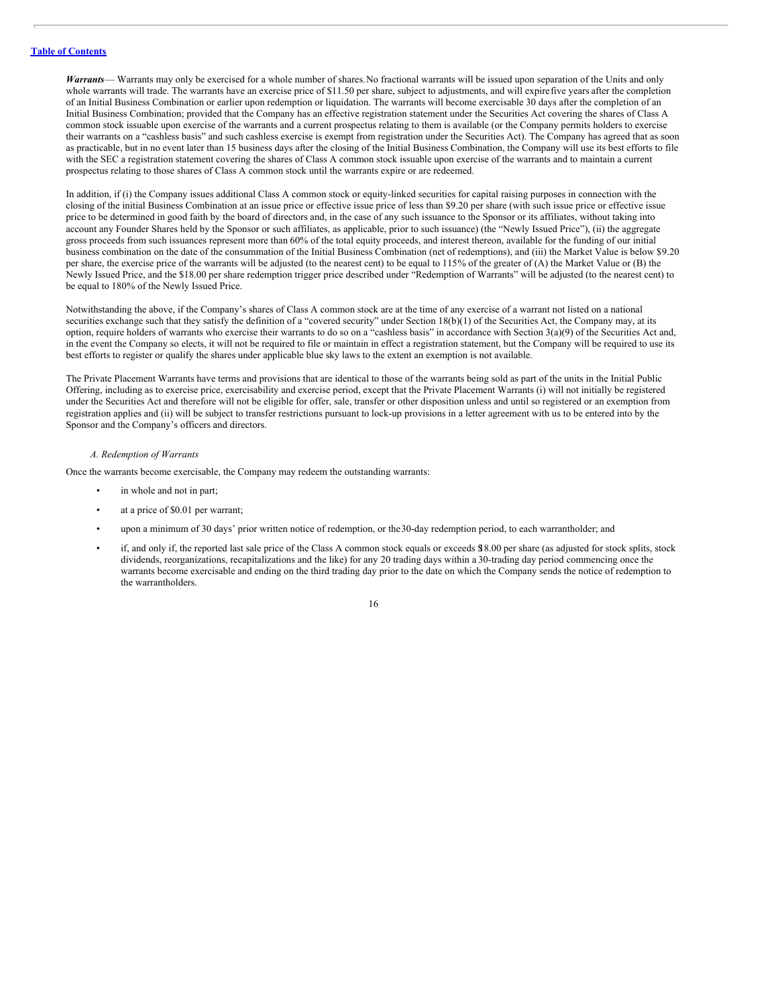*Warrants*— Warrants may only be exercised for a whole number of shares.No fractional warrants will be issued upon separation of the Units and only whole warrants will trade. The warrants have an exercise price of \$11.50 per share, subject to adjustments, and will expire five years after the completion of an Initial Business Combination or earlier upon redemption or liquidation. The warrants will become exercisable 30 days after the completion of an Initial Business Combination; provided that the Company has an effective registration statement under the Securities Act covering the shares of Class A common stock issuable upon exercise of the warrants and a current prospectus relating to them is available (or the Company permits holders to exercise their warrants on a "cashless basis" and such cashless exercise is exempt from registration under the Securities Act). The Company has agreed that as soon as practicable, but in no event later than 15 business days after the closing of the Initial Business Combination, the Company will use its best efforts to file with the SEC a registration statement covering the shares of Class A common stock issuable upon exercise of the warrants and to maintain a current prospectus relating to those shares of Class A common stock until the warrants expire or are redeemed.

In addition, if (i) the Company issues additional Class A common stock or equity-linked securities for capital raising purposes in connection with the closing of the initial Business Combination at an issue price or effective issue price of less than \$9.20 per share (with such issue price or effective issue price to be determined in good faith by the board of directors and, in the case of any such issuance to the Sponsor or its affiliates, without taking into account any Founder Shares held by the Sponsor or such affiliates, as applicable, prior to such issuance) (the "Newly Issued Price"), (ii) the aggregate gross proceeds from such issuances represent more than 60% of the total equity proceeds, and interest thereon, available for the funding of our initial business combination on the date of the consummation of the Initial Business Combination (net of redemptions), and (iii) the Market Value is below \$9.20 per share, the exercise price of the warrants will be adjusted (to the nearest cent) to be equal to 115% of the greater of (A) the Market Value or (B) the Newly Issued Price, and the \$18.00 per share redemption trigger price described under "Redemption of Warrants" will be adjusted (to the nearest cent) to be equal to 180% of the Newly Issued Price.

Notwithstanding the above, if the Company's shares of Class A common stock are at the time of any exercise of a warrant not listed on a national securities exchange such that they satisfy the definition of a "covered security" under Section 18(b)(1) of the Securities Act, the Company may, at its option, require holders of warrants who exercise their warrants to do so on a "cashless basis" in accordance with Section 3(a)(9) of the Securities Act and, in the event the Company so elects, it will not be required to file or maintain in effect a registration statement, but the Company will be required to use its best efforts to register or qualify the shares under applicable blue sky laws to the extent an exemption is not available.

The Private Placement Warrants have terms and provisions that are identical to those of the warrants being sold as part of the units in the Initial Public Offering, including as to exercise price, exercisability and exercise period, except that the Private Placement Warrants (i) will not initially be registered under the Securities Act and therefore will not be eligible for offer, sale, transfer or other disposition unless and until so registered or an exemption from registration applies and (ii) will be subject to transfer restrictions pursuant to lock-up provisions in a letter agreement with us to be entered into by the Sponsor and the Company's officers and directors.

### *A. Redemption of Warrants*

Once the warrants become exercisable, the Company may redeem the outstanding warrants:

- in whole and not in part;
- at a price of \$0.01 per warrant;
- upon a minimum of 30 days' prior written notice of redemption, or the30-day redemption period, to each warrantholder; and
- if, and only if, the reported last sale price of the Class A common stock equals or exceeds \$18.00 per share (as adjusted for stock splits, stock dividends, reorganizations, recapitalizations and the like) for any 20 trading days within a 30-trading day period commencing once the warrants become exercisable and ending on the third trading day prior to the date on which the Company sends the notice of redemption to the warrantholders.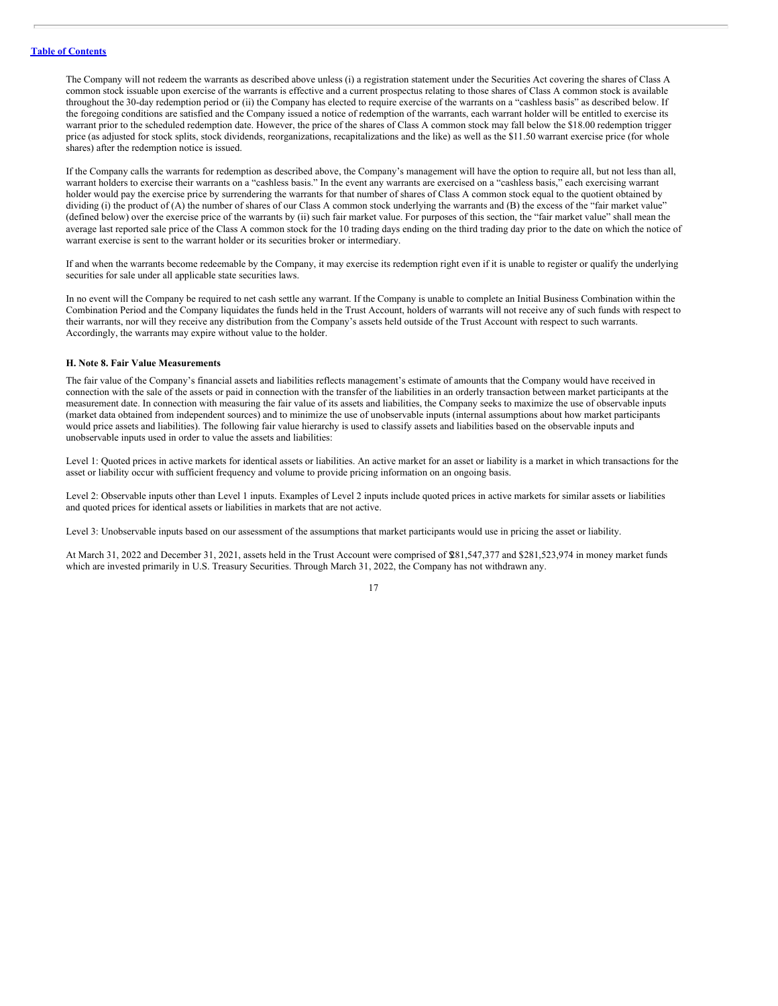The Company will not redeem the warrants as described above unless (i) a registration statement under the Securities Act covering the shares of Class A common stock issuable upon exercise of the warrants is effective and a current prospectus relating to those shares of Class A common stock is available throughout the 30-day redemption period or (ii) the Company has elected to require exercise of the warrants on a "cashless basis" as described below. If the foregoing conditions are satisfied and the Company issued a notice of redemption of the warrants, each warrant holder will be entitled to exercise its warrant prior to the scheduled redemption date. However, the price of the shares of Class A common stock may fall below the \$18.00 redemption trigger price (as adjusted for stock splits, stock dividends, reorganizations, recapitalizations and the like) as well as the \$11.50 warrant exercise price (for whole shares) after the redemption notice is issued.

If the Company calls the warrants for redemption as described above, the Company's management will have the option to require all, but not less than all, warrant holders to exercise their warrants on a "cashless basis." In the event any warrants are exercised on a "cashless basis," each exercising warrant holder would pay the exercise price by surrendering the warrants for that number of shares of Class A common stock equal to the quotient obtained by dividing (i) the product of (A) the number of shares of our Class A common stock underlying the warrants and (B) the excess of the "fair market value" (defined below) over the exercise price of the warrants by (ii) such fair market value. For purposes of this section, the "fair market value" shall mean the average last reported sale price of the Class A common stock for the 10 trading days ending on the third trading day prior to the date on which the notice of warrant exercise is sent to the warrant holder or its securities broker or intermediary.

If and when the warrants become redeemable by the Company, it may exercise its redemption right even if it is unable to register or qualify the underlying securities for sale under all applicable state securities laws.

In no event will the Company be required to net cash settle any warrant. If the Company is unable to complete an Initial Business Combination within the Combination Period and the Company liquidates the funds held in the Trust Account, holders of warrants will not receive any of such funds with respect to their warrants, nor will they receive any distribution from the Company's assets held outside of the Trust Account with respect to such warrants. Accordingly, the warrants may expire without value to the holder.

### **H. Note 8. Fair Value Measurements**

The fair value of the Company's financial assets and liabilities reflects management's estimate of amounts that the Company would have received in connection with the sale of the assets or paid in connection with the transfer of the liabilities in an orderly transaction between market participants at the measurement date. In connection with measuring the fair value of its assets and liabilities, the Company seeks to maximize the use of observable inputs (market data obtained from independent sources) and to minimize the use of unobservable inputs (internal assumptions about how market participants would price assets and liabilities). The following fair value hierarchy is used to classify assets and liabilities based on the observable inputs and unobservable inputs used in order to value the assets and liabilities:

Level 1: Quoted prices in active markets for identical assets or liabilities. An active market for an asset or liability is a market in which transactions for the asset or liability occur with sufficient frequency and volume to provide pricing information on an ongoing basis.

Level 2: Observable inputs other than Level 1 inputs. Examples of Level 2 inputs include quoted prices in active markets for similar assets or liabilities and quoted prices for identical assets or liabilities in markets that are not active.

Level 3: Unobservable inputs based on our assessment of the assumptions that market participants would use in pricing the asset or liability.

At March 31, 2022 and December 31, 2021, assets held in the Trust Account were comprised of \$281,547,377 and \$281,523,974 in money market funds which are invested primarily in U.S. Treasury Securities. Through March 31, 2022, the Company has not withdrawn any.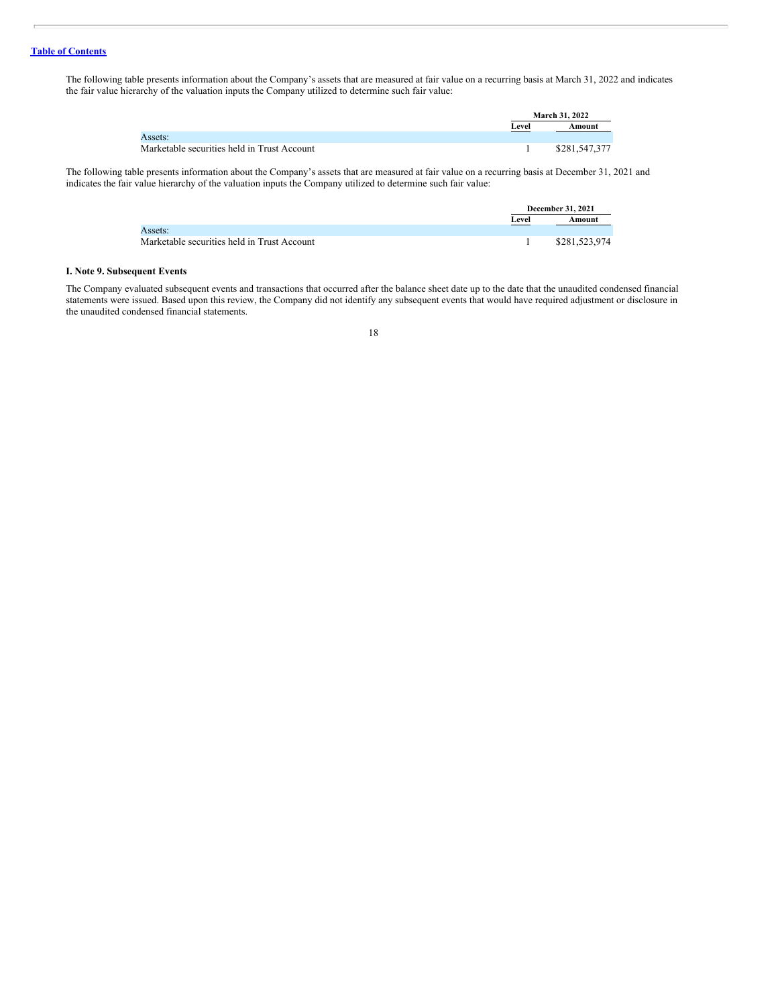The following table presents information about the Company's assets that are measured at fair value on a recurring basis at March 31, 2022 and indicates the fair value hierarchy of the valuation inputs the Company utilized to determine such fair value:

|                                             |       | <b>March 31, 2022</b> |
|---------------------------------------------|-------|-----------------------|
|                                             | Level | Amount                |
| Assets:                                     |       |                       |
| Marketable securities held in Trust Account |       | \$281,547,377         |

The following table presents information about the Company's assets that are measured at fair value on a recurring basis at December 31, 2021 and indicates the fair value hierarchy of the valuation inputs the Company utilized to determine such fair value:

|                                             |       | <b>December 31, 2021</b> |
|---------------------------------------------|-------|--------------------------|
|                                             | Level | Amount                   |
| Assets:                                     |       |                          |
| Marketable securities held in Trust Account |       | \$281,523,974            |

### **I. Note 9. Subsequent Events**

The Company evaluated subsequent events and transactions that occurred after the balance sheet date up to the date that the unaudited condensed financial statements were issued. Based upon this review, the Company did not identify any subsequent events that would have required adjustment or disclosure in the unaudited condensed financial statements.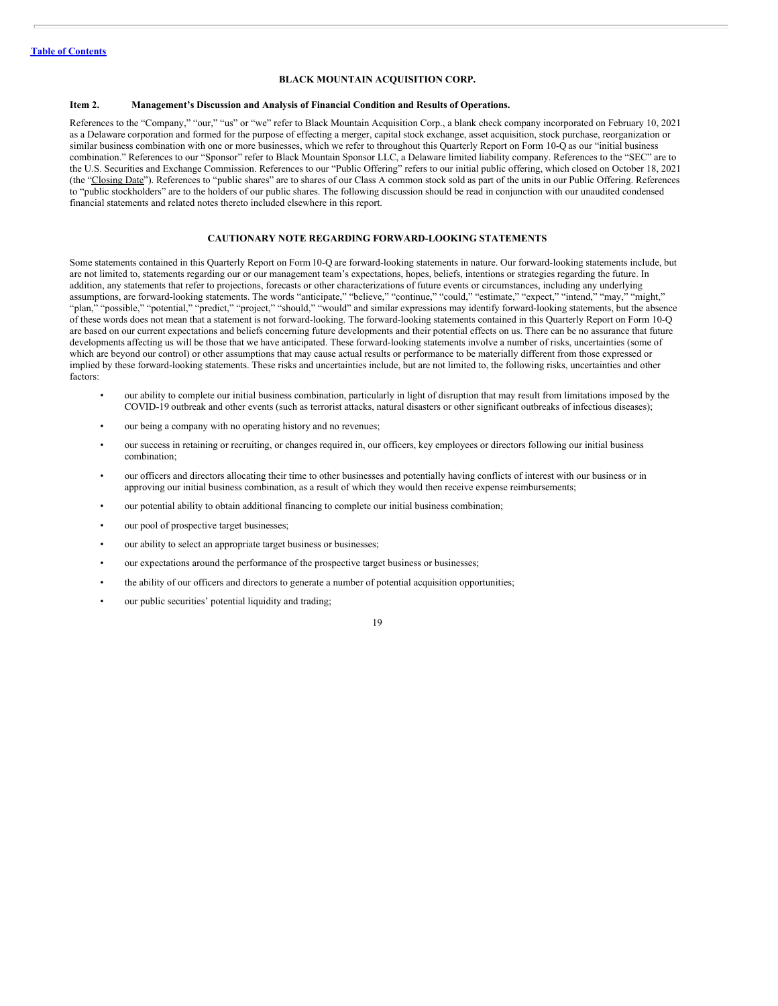### **BLACK MOUNTAIN ACQUISITION CORP.**

### <span id="page-21-0"></span>**Item 2. Management's Discussion and Analysis of Financial Condition and Results of Operations.**

References to the "Company," "our," "us" or "we" refer to Black Mountain Acquisition Corp., a blank check company incorporated on February 10, 2021 as a Delaware corporation and formed for the purpose of effecting a merger, capital stock exchange, asset acquisition, stock purchase, reorganization or similar business combination with one or more businesses, which we refer to throughout this Quarterly Report on Form 10-Q as our "initial business" combination." References to our "Sponsor" refer to Black Mountain Sponsor LLC, a Delaware limited liability company. References to the "SEC" are to the U.S. Securities and Exchange Commission. References to our "Public Offering" refers to our initial public offering, which closed on October 18, 2021 (the "Closing Date"). References to "public shares" are to shares of our Class A common stock sold as part of the units in our Public Offering. References to "public stockholders" are to the holders of our public shares. The following discussion should be read in conjunction with our unaudited condensed financial statements and related notes thereto included elsewhere in this report.

### **CAUTIONARY NOTE REGARDING FORWARD-LOOKING STATEMENTS**

Some statements contained in this Quarterly Report on Form10-Q are forward-looking statements in nature. Our forward-looking statements include, but are not limited to, statements regarding our or our management team's expectations, hopes, beliefs, intentions or strategies regarding the future. In addition, any statements that refer to projections, forecasts or other characterizations of future events or circumstances, including any underlying assumptions, are forward-looking statements. The words "anticipate," "believe," "continue," "could," "estimate," "expect," "intend," "may," "might," "plan," "possible," "potential," "predict," "project," "should," "would" and similar expressions may identify forward-looking statements, but the absence of these words does not mean that a statement is not forward-looking. The forward-looking statements contained in this Quarterly Report on Form 10-Q are based on our current expectations and beliefs concerning future developments and their potential effects on us. There can be no assurance that future developments affecting us will be those that we have anticipated. These forward-looking statements involve a number of risks, uncertainties (some of which are beyond our control) or other assumptions that may cause actual results or performance to be materially different from those expressed or implied by these forward-looking statements. These risks and uncertainties include, but are not limited to, the following risks, uncertainties and other factors:

- our ability to complete our initial business combination, particularly in light of disruption that may result from limitations imposed by the COVID-19 outbreak and other events (such as terrorist attacks, natural disasters or other significant outbreaks of infectious diseases);
- our being a company with no operating history and no revenues;
- our success in retaining or recruiting, or changes required in, our officers, key employees or directors following our initial business combination;
- our officers and directors allocating their time to other businesses and potentially having conflicts of interest with our business or in approving our initial business combination, as a result of which they would then receive expense reimbursements;
- our potential ability to obtain additional financing to complete our initial business combination;
- our pool of prospective target businesses;
- our ability to select an appropriate target business or businesses;
- our expectations around the performance of the prospective target business or businesses;
- the ability of our officers and directors to generate a number of potential acquisition opportunities;
- our public securities' potential liquidity and trading;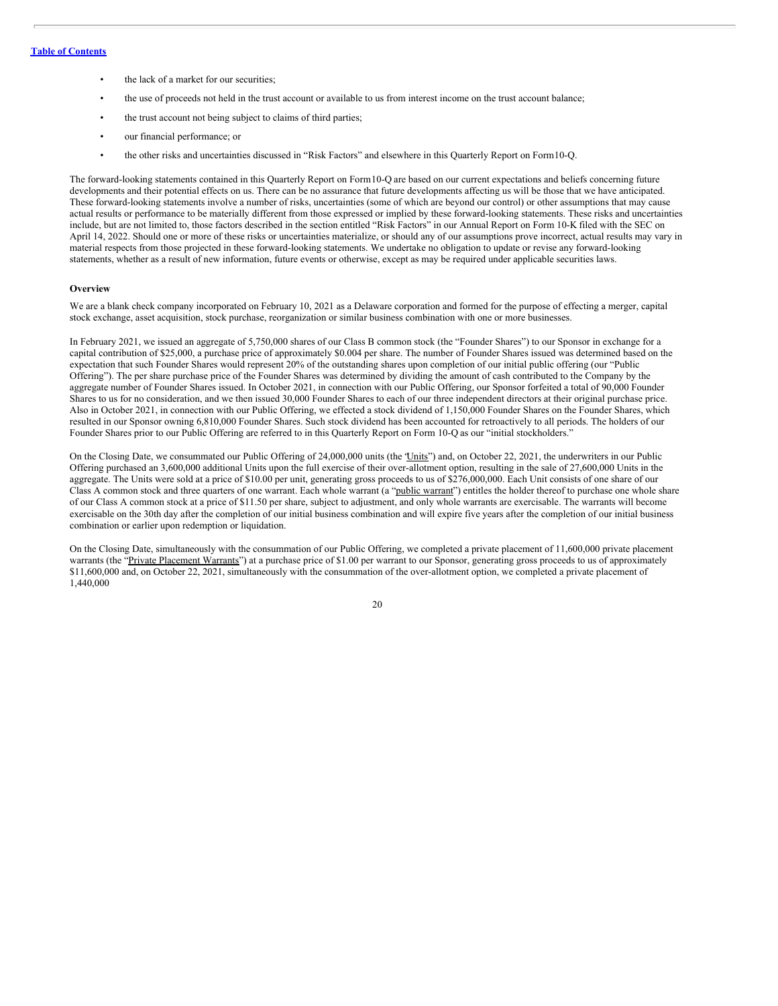- the lack of a market for our securities;
- the use of proceeds not held in the trust account or available to us from interest income on the trust account balance;
- the trust account not being subject to claims of third parties;
- our financial performance; or
- the other risks and uncertainties discussed in "Risk Factors" and elsewhere in this Quarterly Report on Form10-Q.

The forward-looking statements contained in this Quarterly Report on Form10-Q are based on our current expectations and beliefs concerning future developments and their potential effects on us. There can be no assurance that future developments affecting us will be those that we have anticipated. These forward-looking statements involve a number of risks, uncertainties (some of which are beyond our control) or other assumptions that may cause actual results or performance to be materially different from those expressed or implied by these forward-looking statements. These risks and uncertainties include, but are not limited to, those factors described in the section entitled "Risk Factors" in our Annual Report on Form 10-K filed with the SEC on April 14, 2022. Should one or more of these risks or uncertainties materialize, or should any of our assumptions prove incorrect, actual results may vary in material respects from those projected in these forward-looking statements. We undertake no obligation to update or revise any forward-looking statements, whether as a result of new information, future events or otherwise, except as may be required under applicable securities laws.

#### **Overview**

We are a blank check company incorporated on February 10, 2021 as a Delaware corporation and formed for the purpose of effecting a merger, capital stock exchange, asset acquisition, stock purchase, reorganization or similar business combination with one or more businesses.

In February 2021, we issued an aggregate of 5,750,000 shares of our Class B common stock (the "Founder Shares") to our Sponsor in exchange for a capital contribution of \$25,000, a purchase price of approximately \$0.004 per share. The number of Founder Shares issued was determined based on the expectation that such Founder Shares would represent 20% of the outstanding shares upon completion of our initial public offering (our "Public Offering"). The per share purchase price of the Founder Shares was determined by dividing the amount of cash contributed to the Company by the aggregate number of Founder Shares issued. In October 2021, in connection with our Public Offering, our Sponsor forfeited a total of 90,000 Founder Shares to us for no consideration, and we then issued 30,000 Founder Shares to each of our three independent directors at their original purchase price. Also in October 2021, in connection with our Public Offering, we effected a stock dividend of 1,150,000 Founder Shares on the Founder Shares, which resulted in our Sponsor owning 6,810,000 Founder Shares. Such stock dividend has been accounted for retroactively to all periods. The holders of our Founder Shares prior to our Public Offering are referred to in this Quarterly Report on Form 10-Q as our "initial stockholders."

On the Closing Date, we consummated our Public Offering of 24,000,000 units (the "Units") and, on October 22, 2021, the underwriters in our Public Offering purchased an 3,600,000 additional Units upon the full exercise of their over-allotment option, resulting in the sale of 27,600,000 Units in the aggregate. The Units were sold at a price of \$10.00 per unit, generating gross proceeds to us of \$276,000,000. Each Unit consists of one share of our Class A common stock and three quarters of one warrant. Each whole warrant (a "public warrant") entitles the holder thereof to purchase one whole share of our Class A common stock at a price of \$11.50 per share, subject to adjustment, and only whole warrants are exercisable. The warrants will become exercisable on the 30th day after the completion of our initial business combination and will expire five years after the completion of our initial business combination or earlier upon redemption or liquidation.

On the Closing Date, simultaneously with the consummation of our Public Offering, we completed a private placement of 11,600,000 private placement warrants (the "Private Placement Warrants") at a purchase price of \$1.00 per warrant to our Sponsor, generating gross proceeds to us of approximately \$11,600,000 and, on October 22, 2021, simultaneously with the consummation of the over-allotment option, we completed a private placement of 1,440,000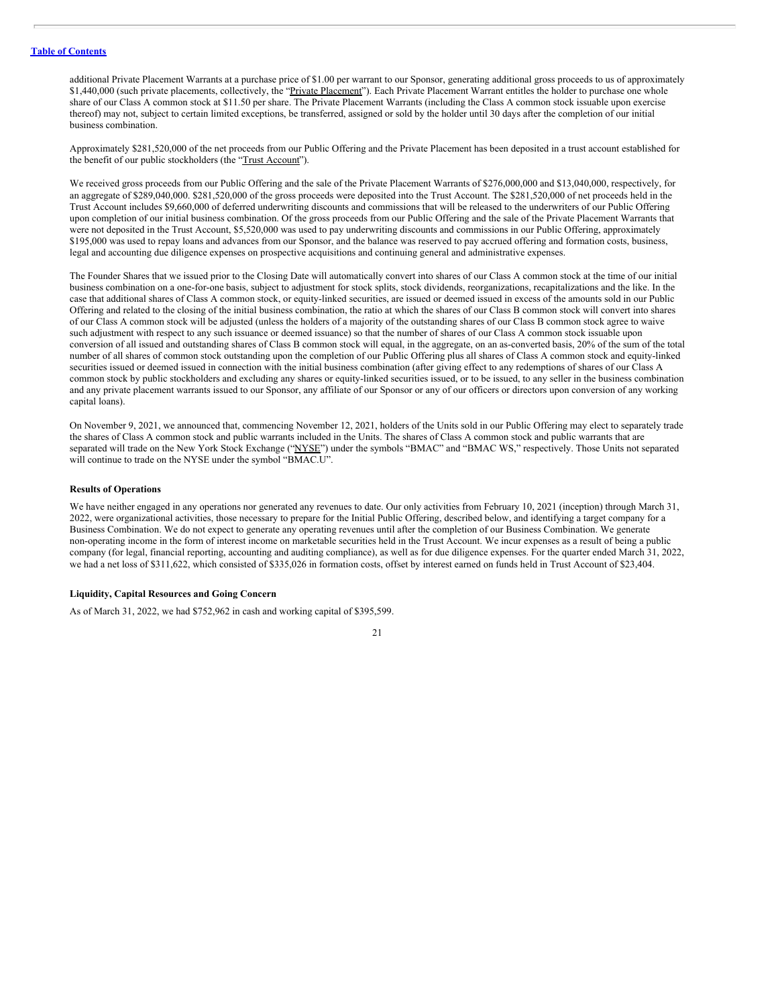additional Private Placement Warrants at a purchase price of \$1.00 per warrant to our Sponsor, generating additional gross proceeds to us of approximately \$1,440,000 (such private placements, collectively, the "Private Placement"). Each Private Placement Warrant entitles the holder to purchase one whole share of our Class A common stock at \$11.50 per share. The Private Placement Warrants (including the Class A common stock issuable upon exercise thereof) may not, subject to certain limited exceptions, be transferred, assigned or sold by the holder until 30 days after the completion of our initial business combination.

Approximately \$281,520,000 of the net proceeds from our Public Offering and the Private Placement has been deposited in a trust account established for the benefit of our public stockholders (the "Trust Account").

We received gross proceeds from our Public Offering and the sale of the Private Placement Warrants of \$276,000,000 and \$13,040,000, respectively, for an aggregate of \$289,040,000. \$281,520,000 of the gross proceeds were deposited into the Trust Account. The \$281,520,000 of net proceeds held in the Trust Account includes \$9,660,000 of deferred underwriting discounts and commissions that will be released to the underwriters of our Public Offering upon completion of our initial business combination. Of the gross proceeds from our Public Offering and the sale of the Private Placement Warrants that were not deposited in the Trust Account, \$5,520,000 was used to pay underwriting discounts and commissions in our Public Offering, approximately \$195,000 was used to repay loans and advances from our Sponsor, and the balance was reserved to pay accrued offering and formation costs, business, legal and accounting due diligence expenses on prospective acquisitions and continuing general and administrative expenses.

The Founder Shares that we issued prior to the Closing Date will automatically convert into shares of our Class A common stock at the time of our initial business combination on a one-for-one basis, subject to adjustment for stock splits, stock dividends, reorganizations, recapitalizations and the like. In the case that additional shares of Class A common stock, or equity-linked securities, are issued or deemed issued in excess of the amounts sold in our Public Offering and related to the closing of the initial business combination, the ratio at which the shares of our Class B common stock will convert into shares of our Class A common stock will be adjusted (unless the holders of a majority of the outstanding shares of our Class B common stock agree to waive such adjustment with respect to any such issuance or deemed issuance) so that the number of shares of our Class A common stock issuable upon conversion of all issued and outstanding shares of Class B common stock will equal, in the aggregate, on an as-converted basis, 20% of the sum of the total number of all shares of common stock outstanding upon the completion of our Public Offering plus all shares of Class A common stock and equity-linked securities issued or deemed issued in connection with the initial business combination (after giving effect to any redemptions of shares of our Class A common stock by public stockholders and excluding any shares or equity-linked securities issued, or to be issued, to any seller in the business combination and any private placement warrants issued to our Sponsor, any affiliate of our Sponsor or any of our officers or directors upon conversion of any working capital loans).

On November 9, 2021, we announced that, commencing November 12, 2021, holders of the Units sold in our Public Offering may elect to separately trade the shares of Class A common stock and public warrants included in the Units. The shares of Class A common stock and public warrants that are separated will trade on the New York Stock Exchange ("NYSE") under the symbols "BMAC" and "BMAC WS," respectively. Those Units not separated will continue to trade on the NYSE under the symbol "BMAC.U".

### **Results of Operations**

We have neither engaged in any operations nor generated any revenues to date. Our only activities from February 10, 2021 (inception) through March 31, 2022, were organizational activities, those necessary to prepare for the Initial Public Offering, described below, and identifying a target company for a Business Combination. We do not expect to generate any operating revenues until after the completion of our Business Combination. We generate non-operating income in the form of interest income on marketable securities held in the Trust Account. We incur expenses as a result of being a public company (for legal, financial reporting, accounting and auditing compliance), as well as for due diligence expenses. For the quarter ended March 31, 2022, we had a net loss of \$311,622, which consisted of \$335,026 in formation costs, offset by interest earned on funds held in Trust Account of \$23,404.

### **Liquidity, Capital Resources and Going Concern**

As of March 31, 2022, we had \$752,962 in cash and working capital of \$395,599.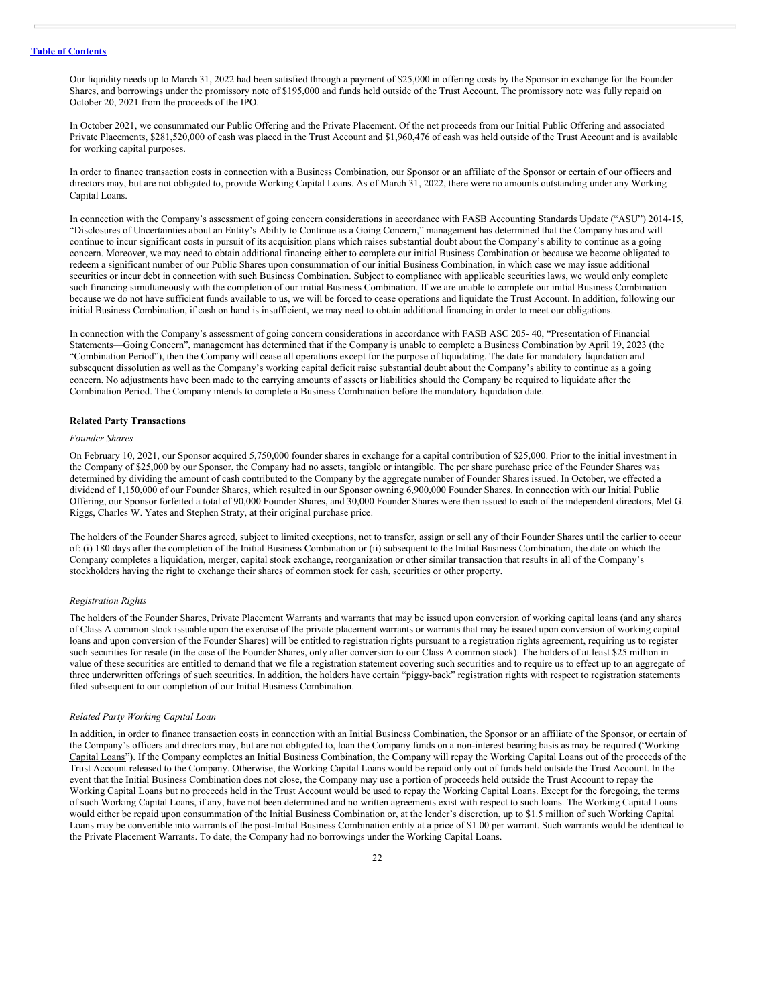Our liquidity needs up to March 31, 2022 had been satisfied through a payment of \$25,000 in offering costs by the Sponsor in exchange for the Founder Shares, and borrowings under the promissory note of \$195,000 and funds held outside of the Trust Account. The promissory note was fully repaid on October 20, 2021 from the proceeds of the IPO.

In October 2021, we consummated our Public Offering and the Private Placement. Of the net proceeds from our Initial Public Offering and associated Private Placements, \$281,520,000 of cash was placed in the Trust Account and \$1,960,476 of cash was held outside of the Trust Account and is available for working capital purposes.

In order to finance transaction costs in connection with a Business Combination, our Sponsor or an affiliate of the Sponsor or certain of our officers and directors may, but are not obligated to, provide Working Capital Loans. As of March 31, 2022, there were no amounts outstanding under any Working Capital Loans.

In connection with the Company's assessment of going concern considerations in accordance with FASB Accounting Standards Update ("ASU") 2014-15, "Disclosures of Uncertainties about an Entity's Ability to Continue as a Going Concern," management has determined that the Company has and will continue to incur significant costs in pursuit of its acquisition plans which raises substantial doubt about the Company's ability to continue as a going concern. Moreover, we may need to obtain additional financing either to complete our initial Business Combination or because we become obligated to redeem a significant number of our Public Shares upon consummation of our initial Business Combination, in which case we may issue additional securities or incur debt in connection with such Business Combination. Subject to compliance with applicable securities laws, we would only complete such financing simultaneously with the completion of our initial Business Combination. If we are unable to complete our initial Business Combination because we do not have sufficient funds available to us, we will be forced to cease operations and liquidate the Trust Account. In addition, following our initial Business Combination, if cash on hand is insufficient, we may need to obtain additional financing in order to meet our obligations.

In connection with the Company's assessment of going concern considerations in accordance with FASB ASC 205- 40, "Presentation of Financial Statements—Going Concern", management has determined that if the Company is unable to complete a Business Combination by April 19, 2023 (the "Combination Period"), then the Company will cease all operations except for the purpose of liquidating. The date for mandatory liquidation and subsequent dissolution as well as the Company's working capital deficit raise substantial doubt about the Company's ability to continue as a going concern. No adjustments have been made to the carrying amounts of assets or liabilities should the Company be required to liquidate after the Combination Period. The Company intends to complete a Business Combination before the mandatory liquidation date.

### **Related Party Transactions**

### *Founder Shares*

On February 10, 2021, our Sponsor acquired 5,750,000 founder shares in exchange for a capital contribution of \$25,000. Prior to the initial investment in the Company of \$25,000 by our Sponsor, the Company had no assets, tangible or intangible. The per share purchase price of the Founder Shares was determined by dividing the amount of cash contributed to the Company by the aggregate number of Founder Shares issued. In October, we effected a dividend of 1,150,000 of our Founder Shares, which resulted in our Sponsor owning 6,900,000 Founder Shares. In connection with our Initial Public Offering, our Sponsor forfeited a total of 90,000 Founder Shares, and 30,000 Founder Shares were then issued to each of the independent directors, Mel G. Riggs, Charles W. Yates and Stephen Straty, at their original purchase price.

The holders of the Founder Shares agreed, subject to limited exceptions, not to transfer, assign or sell any of their Founder Shares until the earlier to occur of: (i) 180 days after the completion of the Initial Business Combination or (ii) subsequent to the Initial Business Combination, the date on which the Company completes a liquidation, merger, capital stock exchange, reorganization or other similar transaction that results in all of the Company's stockholders having the right to exchange their shares of common stock for cash, securities or other property.

### *Registration Rights*

The holders of the Founder Shares, Private Placement Warrants and warrants that may be issued upon conversion of working capital loans (and any shares of Class A common stock issuable upon the exercise of the private placement warrants or warrants that may be issued upon conversion of working capital loans and upon conversion of the Founder Shares) will be entitled to registration rights pursuant to a registration rights agreement, requiring us to register such securities for resale (in the case of the Founder Shares, only after conversion to our Class A common stock). The holders of at least \$25 million in value of these securities are entitled to demand that we file a registration statement covering such securities and to require us to effect up to an aggregate of three underwritten offerings of such securities. In addition, the holders have certain "piggy-back" registration rights with respect to registration statements filed subsequent to our completion of our Initial Business Combination.

### *Related Party Working Capital Loan*

In addition, in order to finance transaction costs in connection with an Initial Business Combination, the Sponsor or an affiliate of the Sponsor, or certain of the Company's officers and directors may, but are not obligated to, loan the Company funds on a non-interest bearing basis as may be required ('Working Capital Loans"). If the Company completes an Initial Business Combination, the Company will repay the Working Capital Loans out of the proceeds of the Trust Account released to the Company. Otherwise, the Working Capital Loans would be repaid only out of funds held outside the Trust Account. In the event that the Initial Business Combination does not close, the Company may use a portion of proceeds held outside the Trust Account to repay the Working Capital Loans but no proceeds held in the Trust Account would be used to repay the Working Capital Loans. Except for the foregoing, the terms of such Working Capital Loans, if any, have not been determined and no written agreements exist with respect to such loans. The Working Capital Loans would either be repaid upon consummation of the Initial Business Combination or, at the lender's discretion, up to \$1.5 million of such Working Capital Loans may be convertible into warrants of the post-Initial Business Combination entity at a price of \$1.00 per warrant. Such warrants would be identical to the Private Placement Warrants. To date, the Company had no borrowings under the Working Capital Loans.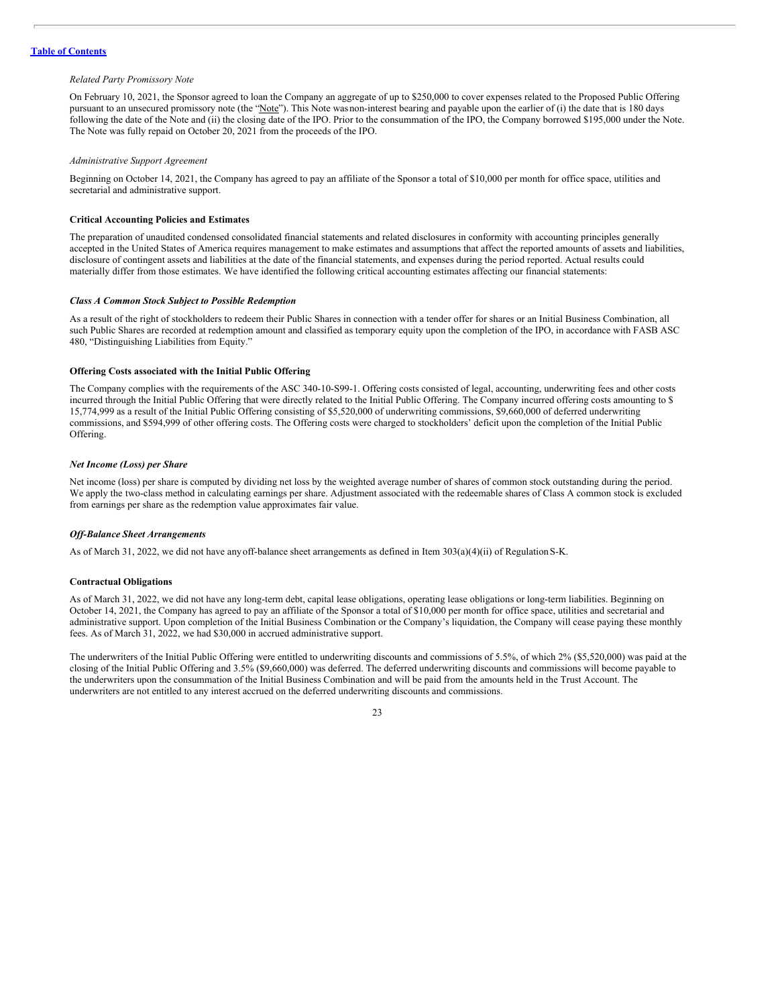### *Related Party Promissory Note*

On February 10, 2021, the Sponsor agreed to loan the Company an aggregate of up to \$250,000 to cover expenses related to the Proposed Public Offering pursuant to an unsecured promissory note (the "Note"). This Note wasnon-interest bearing and payable upon the earlier of (i) the date that is 180 days following the date of the Note and (ii) the closing date of the IPO. Prior to the consummation of the IPO, the Company borrowed \$195,000 under the Note. The Note was fully repaid on October 20, 2021 from the proceeds of the IPO.

### *Administrative Support Agreement*

Beginning on October 14, 2021, the Company has agreed to pay an affiliate of the Sponsor a total of \$10,000 per month for office space, utilities and secretarial and administrative support.

### **Critical Accounting Policies and Estimates**

The preparation of unaudited condensed consolidated financial statements and related disclosures in conformity with accounting principles generally accepted in the United States of America requires management to make estimates and assumptions that affect the reported amounts of assets and liabilities, disclosure of contingent assets and liabilities at the date of the financial statements, and expenses during the period reported. Actual results could materially differ from those estimates. We have identified the following critical accounting estimates affecting our financial statements:

### *Class A Common Stock Subject to Possible Redemption*

As a result of the right of stockholders to redeem their Public Shares in connection with a tender offer for shares or an Initial Business Combination, all such Public Shares are recorded at redemption amount and classified as temporary equity upon the completion of the IPO, in accordance with FASB ASC 480, "Distinguishing Liabilities from Equity."

### **Offering Costs associated with the Initial Public Offering**

The Company complies with the requirements of the ASC 340-10-S99-1. Offering costs consisted of legal, accounting, underwriting fees and other costs incurred through the Initial Public Offering that were directly related to the Initial Public Offering. The Company incurred offering costs amounting to \$ 15,774,999 as a result of the Initial Public Offering consisting of \$5,520,000 of underwriting commissions, \$9,660,000 of deferred underwriting commissions, and \$594,999 of other offering costs. The Offering costs were charged to stockholders' deficit upon the completion of the Initial Public Offering.

#### *Net Income (Loss) per Share*

Net income (loss) per share is computed by dividing net loss by the weighted average number of shares of common stock outstanding during the period. We apply the two-class method in calculating earnings per share. Adjustment associated with the redeemable shares of Class A common stock is excluded from earnings per share as the redemption value approximates fair value.

### *Of -Balance Sheet Arrangements*

As of March 31, 2022, we did not have anyoff-balance sheet arrangements as defined in Item 303(a)(4)(ii) of RegulationS-K.

### **Contractual Obligations**

As of March 31, 2022, we did not have any long-term debt, capital lease obligations, operating lease obligations or long-term liabilities. Beginning on October 14, 2021, the Company has agreed to pay an affiliate of the Sponsor a total of \$10,000 per month for office space, utilities and secretarial and administrative support. Upon completion of the Initial Business Combination or the Company's liquidation, the Company will cease paying these monthly fees. As of March 31, 2022, we had \$30,000 in accrued administrative support.

The underwriters of the Initial Public Offering were entitled to underwriting discounts and commissions of 5.5%, of which 2% (\$5,520,000) was paid at the closing of the Initial Public Offering and 3.5% (\$9,660,000) was deferred. The deferred underwriting discounts and commissions will become payable to the underwriters upon the consummation of the Initial Business Combination and will be paid from the amounts held in the Trust Account. The underwriters are not entitled to any interest accrued on the deferred underwriting discounts and commissions.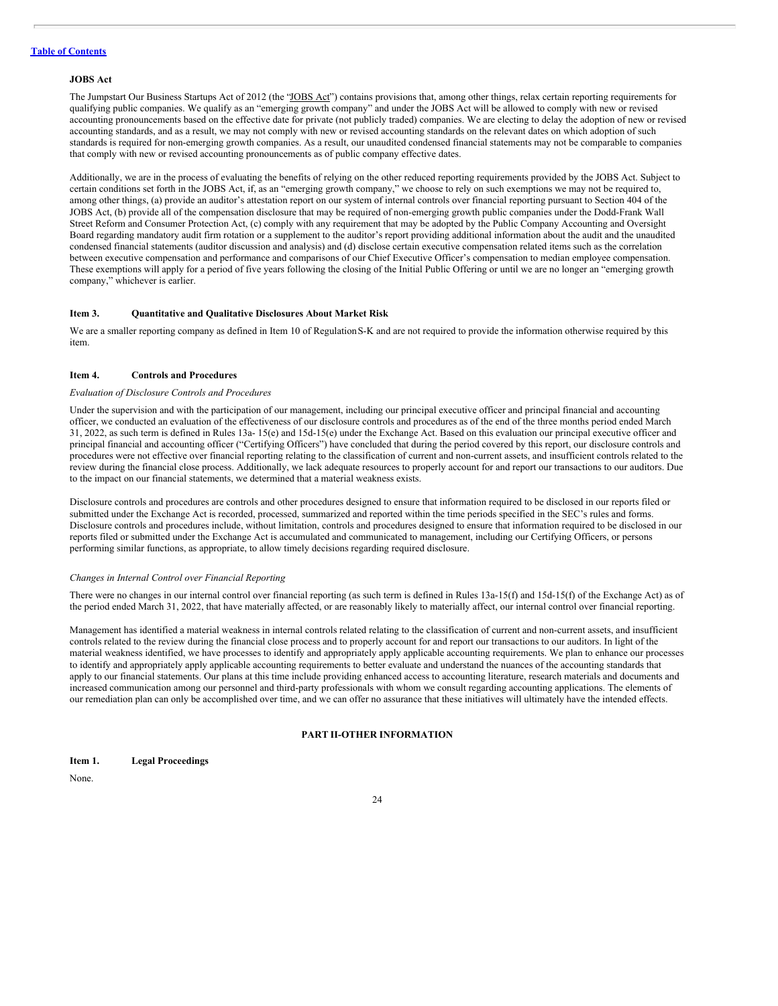### **JOBS Act**

The Jumpstart Our Business Startups Act of 2012 (the "JOBS Act") contains provisions that, among other things, relax certain reporting requirements for qualifying public companies. We qualify as an "emerging growth company" and under the JOBS Act will be allowed to comply with new or revised accounting pronouncements based on the effective date for private (not publicly traded) companies. We are electing to delay the adoption of new or revised accounting standards, and as a result, we may not comply with new or revised accounting standards on the relevant dates on which adoption of such standards is required for non-emerging growth companies. As a result, our unaudited condensed financial statements may not be comparable to companies that comply with new or revised accounting pronouncements as of public company effective dates.

Additionally, we are in the process of evaluating the benefits of relying on the other reduced reporting requirements provided by the JOBS Act. Subject to certain conditions set forth in the JOBS Act, if, as an "emerging growth company," we choose to rely on such exemptions we may not be required to, among other things, (a) provide an auditor's attestation report on our system of internal controls over financial reporting pursuant to Section 404 of the JOBS Act, (b) provide all of the compensation disclosure that may be required of non-emerging growth public companies under the Dodd-Frank Wall Street Reform and Consumer Protection Act, (c) comply with any requirement that may be adopted by the Public Company Accounting and Oversight Board regarding mandatory audit firm rotation or a supplement to the auditor's report providing additional information about the audit and the unaudited condensed financial statements (auditor discussion and analysis) and (d) disclose certain executive compensation related items such as the correlation between executive compensation and performance and comparisons of our Chief Executive Officer's compensation to median employee compensation. These exemptions will apply for a period of five years following the closing of the Initial Public Offering or until we are no longer an "emerging growth company," whichever is earlier.

### <span id="page-26-0"></span>**Item 3. Quantitative and Qualitative Disclosures About Market Risk**

We are a smaller reporting company as defined in Item 10 of RegulationS-K and are not required to provide the information otherwise required by this item.

### <span id="page-26-1"></span>**Item 4. Controls and Procedures**

### *Evaluation of Disclosure Controls and Procedures*

Under the supervision and with the participation of our management, including our principal executive officer and principal financial and accounting officer, we conducted an evaluation of the effectiveness of our disclosure controls and procedures as of the end of the three months period ended March 31, 2022, as such term is defined in Rules 13a- 15(e) and 15d-15(e) under the Exchange Act. Based on this evaluation our principal executive officer and principal financial and accounting officer ("Certifying Officers") have concluded that during the period covered by this report, our disclosure controls and procedures were not effective over financial reporting relating to the classification of current and non-current assets, and insufficient controls related to the review during the financial close process. Additionally, we lack adequate resources to properly account for and report our transactions to our auditors. Due to the impact on our financial statements, we determined that a material weakness exists.

Disclosure controls and procedures are controls and other procedures designed to ensure that information required to be disclosed in our reports filed or submitted under the Exchange Act is recorded, processed, summarized and reported within the time periods specified in the SEC's rules and forms. Disclosure controls and procedures include, without limitation, controls and procedures designed to ensure that information required to be disclosed in our reports filed or submitted under the Exchange Act is accumulated and communicated to management, including our Certifying Officers, or persons performing similar functions, as appropriate, to allow timely decisions regarding required disclosure.

### *Changes in Internal Control over Financial Reporting*

There were no changes in our internal control over financial reporting (as such term is defined in Rules 13a-15(f) and 15d-15(f) of the Exchange Act) as of the period ended March 31, 2022, that have materially affected, or are reasonably likely to materially affect, our internal control over financial reporting.

Management has identified a material weakness in internal controls related relating to the classification of current and non-current assets, and insufficient controls related to the review during the financial close process and to properly account for and report our transactions to our auditors. In light of the material weakness identified, we have processes to identify and appropriately apply applicable accounting requirements. We plan to enhance our processes to identify and appropriately apply applicable accounting requirements to better evaluate and understand the nuances of the accounting standards that apply to our financial statements. Our plans at this time include providing enhanced access to accounting literature, research materials and documents and increased communication among our personnel and third-party professionals with whom we consult regarding accounting applications. The elements of our remediation plan can only be accomplished over time, and we can offer no assurance that these initiatives will ultimately have the intended effects.

### **PART II-OTHER INFORMATION**

<span id="page-26-3"></span><span id="page-26-2"></span>

| Item 1. | <b>Legal Proceedings</b> |
|---------|--------------------------|
|---------|--------------------------|

None.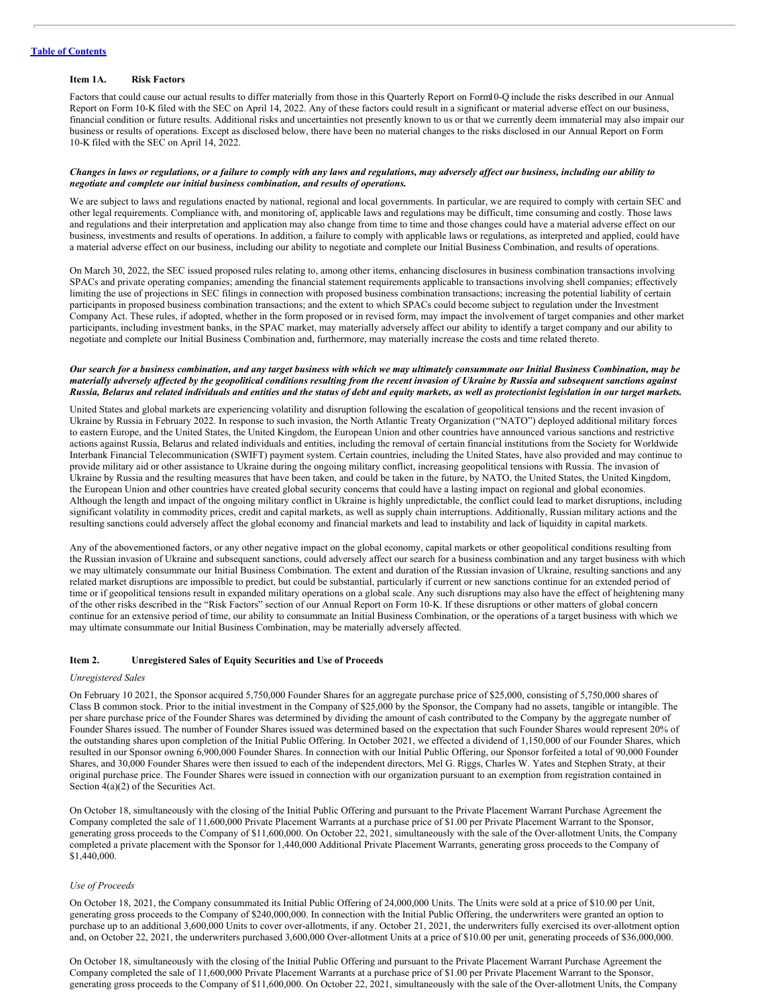### <span id="page-27-0"></span>**Item 1A. Risk Factors**

Factors that could cause our actual results to differ materially from those in this Quarterly Report on Form10-Q include the risks described in our Annual Report on Form 10-K filed with the SEC on April 14, 2022. Any of these factors could result in a significant or material adverse effect on our business, financial condition or future results. Additional risks and uncertainties not presently known to us or that we currently deem immaterial may also impair our business or results of operations. Except as disclosed below, there have been no material changes to the risks disclosed in our Annual Report on Form 10-K filed with the SEC on April 14, 2022.

### Changes in laws or regulations, or a failure to comply with any laws and regulations, may adversely affect our business, including our ability to *negotiate and complete our initial business combination, and results of operations.*

We are subject to laws and regulations enacted by national, regional and local governments. In particular, we are required to comply with certain SEC and other legal requirements. Compliance with, and monitoring of, applicable laws and regulations may be difficult, time consuming and costly. Those laws and regulations and their interpretation and application may also change from time to time and those changes could have a material adverse effect on our business, investments and results of operations. In addition, a failure to comply with applicable laws or regulations, as interpreted and applied, could have a material adverse effect on our business, including our ability to negotiate and complete our Initial Business Combination, and results of operations.

On March 30, 2022, the SEC issued proposed rules relating to, among other items, enhancing disclosures in business combination transactions involving SPACs and private operating companies; amending the financial statement requirements applicable to transactions involving shell companies; effectively limiting the use of projections in SEC filings in connection with proposed business combination transactions; increasing the potential liability of certain participants in proposed business combination transactions; and the extent to which SPACs could become subject to regulation under the Investment Company Act. These rules, if adopted, whether in the form proposed or in revised form, may impact the involvement of target companies and other market participants, including investment banks, in the SPAC market, may materially adversely affect our ability to identify a target company and our ability to negotiate and complete our Initial Business Combination and, furthermore, may materially increase the costs and time related thereto.

### Our search for a business combination, and any target business with which we may ultimately consummate our Initial Business Combination, may be materially adversely affected by the geopolitical conditions resulting from the recent invasion of Ukraine by Russia and subsequent sanctions against Russia, Belarus and related individuals and entities and the status of debt and equity markets, as well as protectionist legislation in our target markets.

United States and global markets are experiencing volatility and disruption following the escalation of geopolitical tensions and the recent invasion of Ukraine by Russia in February 2022. In response to such invasion, the North Atlantic Treaty Organization ("NATO") deployed additional military forces to eastern Europe, and the United States, the United Kingdom, the European Union and other countries have announced various sanctions and restrictive actions against Russia, Belarus and related individuals and entities, including the removal of certain financial institutions from the Society for Worldwide Interbank Financial Telecommunication (SWIFT) payment system. Certain countries, including the United States, have also provided and may continue to provide military aid or other assistance to Ukraine during the ongoing military conflict, increasing geopolitical tensions with Russia. The invasion of Ukraine by Russia and the resulting measures that have been taken, and could be taken in the future, by NATO, the United States, the United Kingdom, the European Union and other countries have created global security concerns that could have a lasting impact on regional and global economies. Although the length and impact of the ongoing military conflict in Ukraine is highly unpredictable, the conflict could lead to market disruptions, including significant volatility in commodity prices, credit and capital markets, as well as supply chain interruptions. Additionally, Russian military actions and the resulting sanctions could adversely affect the global economy and financial markets and lead to instability and lack of liquidity in capital markets.

Any of the abovementioned factors, or any other negative impact on the global economy, capital markets or other geopolitical conditions resulting from the Russian invasion of Ukraine and subsequent sanctions, could adversely affect our search for a business combination and any target business with which we may ultimately consummate our Initial Business Combination. The extent and duration of the Russian invasion of Ukraine, resulting sanctions and any related market disruptions are impossible to predict, but could be substantial, particularly if current or new sanctions continue for an extended period of time or if geopolitical tensions result in expanded military operations on a global scale. Any such disruptions may also have the effect of heightening many of the other risks described in the "Risk Factors" section of our Annual Report on Form 10-K. If these disruptions or other matters of global concern continue for an extensive period of time, our ability to consummate an Initial Business Combination, or the operations of a target business with which we may ultimate consummate our Initial Business Combination, may be materially adversely affected.

### <span id="page-27-1"></span>**Item 2. Unregistered Sales of Equity Securities and Use of Proceeds**

#### *Unregistered Sales*

On February 10 2021, the Sponsor acquired 5,750,000 Founder Shares for an aggregate purchase price of \$25,000, consisting of 5,750,000 shares of Class B common stock. Prior to the initial investment in the Company of \$25,000 by the Sponsor, the Company had no assets, tangible or intangible. The per share purchase price of the Founder Shares was determined by dividing the amount of cash contributed to the Company by the aggregate number of Founder Shares issued. The number of Founder Shares issued was determined based on the expectation that such Founder Shares would represent 20% of the outstanding shares upon completion of the Initial Public Offering. In October 2021, we effected a dividend of 1,150,000 of our Founder Shares, which resulted in our Sponsor owning 6,900,000 Founder Shares. In connection with our Initial Public Offering, our Sponsor forfeited a total of 90,000 Founder Shares, and 30,000 Founder Shares were then issued to each of the independent directors, Mel G. Riggs, Charles W. Yates and Stephen Straty, at their original purchase price. The Founder Shares were issued in connection with our organization pursuant to an exemption from registration contained in Section 4(a)(2) of the Securities Act.

On October 18, simultaneously with the closing of the Initial Public Offering and pursuant to the Private Placement Warrant Purchase Agreement the Company completed the sale of 11,600,000 Private Placement Warrants at a purchase price of \$1.00 per Private Placement Warrant to the Sponsor, generating gross proceeds to the Company of \$11,600,000. On October 22, 2021, simultaneously with the sale of the Over-allotment Units, the Company completed a private placement with the Sponsor for 1,440,000 Additional Private Placement Warrants, generating gross proceeds to the Company of \$1,440,000.

### *Use of Proceeds*

On October 18, 2021, the Company consummated its Initial Public Offering of 24,000,000 Units. The Units were sold at a price of \$10.00 per Unit, generating gross proceeds to the Company of \$240,000,000. In connection with the Initial Public Offering, the underwriters were granted an option to purchase up to an additional 3,600,000 Units to cover over-allotments, if any. October 21, 2021, the underwriters fully exercised its over-allotment option and, on October 22, 2021, the underwriters purchased 3,600,000 Over-allotment Units at a price of \$10.00 per unit, generating proceeds of \$36,000,000.

On October 18, simultaneously with the closing of the Initial Public Offering and pursuant to the Private Placement Warrant Purchase Agreement the Company completed the sale of 11,600,000 Private Placement Warrants at a purchase price of \$1.00 per Private Placement Warrant to the Sponsor, generating gross proceeds to the Company of \$11,600,000. On October 22, 2021, simultaneously with the sale of the Over-allotment Units, the Company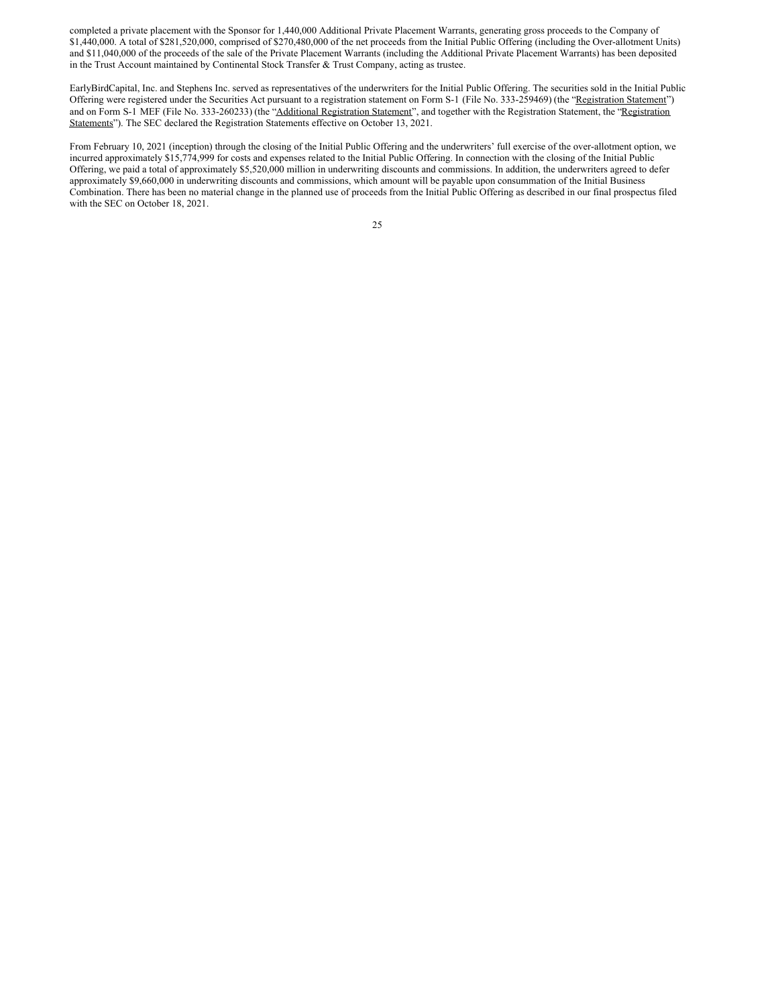completed a private placement with the Sponsor for 1,440,000 Additional Private Placement Warrants, generating gross proceeds to the Company of \$1,440,000. A total of \$281,520,000, comprised of \$270,480,000 of the net proceeds from the Initial Public Offering (including the Over-allotment Units) and \$11,040,000 of the proceeds of the sale of the Private Placement Warrants (including the Additional Private Placement Warrants) has been deposited in the Trust Account maintained by Continental Stock Transfer & Trust Company, acting as trustee.

EarlyBirdCapital, Inc. and Stephens Inc. served as representatives of the underwriters for the Initial Public Offering. The securities sold in the Initial Public Offering were registered under the Securities Act pursuant to a registration statement on Form S-1 (File No. 333-259469) (the "Registration Statement") and on Form S-1 MEF (File No. 333-260233) (the "Additional Registration Statement", and together with the Registration Statement, the "Registration" Statements"). The SEC declared the Registration Statements effective on October 13, 2021.

From February 10, 2021 (inception) through the closing of the Initial Public Offering and the underwriters' full exercise of the over-allotment option, we incurred approximately \$15,774,999 for costs and expenses related to the Initial Public Offering. In connection with the closing of the Initial Public Offering, we paid a total of approximately \$5,520,000 million in underwriting discounts and commissions. In addition, the underwriters agreed to defer approximately \$9,660,000 in underwriting discounts and commissions, which amount will be payable upon consummation of the Initial Business Combination. There has been no material change in the planned use of proceeds from the Initial Public Offering as described in our final prospectus filed with the SEC on October 18, 2021.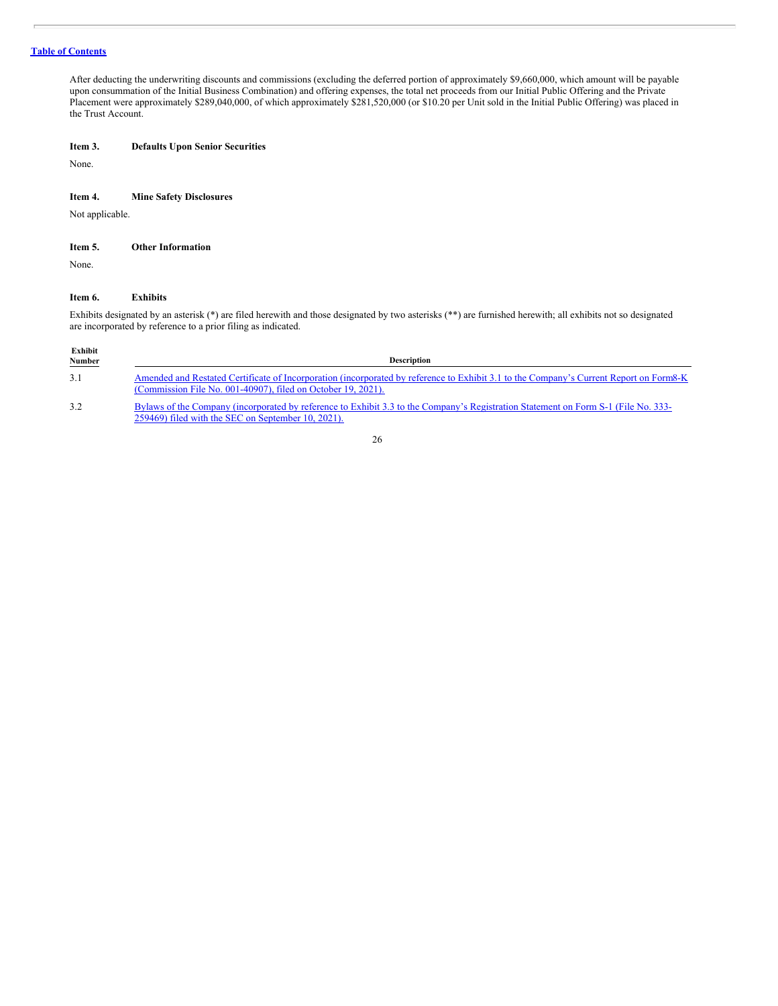After deducting the underwriting discounts and commissions (excluding the deferred portion of approximately \$9,660,000, which amount will be payable upon consummation of the Initial Business Combination) and offering expenses, the total net proceeds from our Initial Public Offering and the Private Placement were approximately \$289,040,000, of which approximately \$281,520,000 (or \$10.20 per Unit sold in the Initial Public Offering) was placed in the Trust Account.

### <span id="page-29-0"></span>**Item 3. Defaults Upon Senior Securities**

None.

### <span id="page-29-1"></span>**Item 4. Mine Safety Disclosures**

Not applicable.

<span id="page-29-2"></span>

| Item 5. | <b>Other Information</b> |
|---------|--------------------------|
|---------|--------------------------|

None.

### <span id="page-29-3"></span>**Item 6. Exhibits**

Exhibits designated by an asterisk (\*) are filed herewith and those designated by two asterisks (\*\*) are furnished herewith; all exhibits not so designated are incorporated by reference to a prior filing as indicated.

| Exhibit<br><b>Number</b> | <b>Description</b>                                                                                                                                                                                     |
|--------------------------|--------------------------------------------------------------------------------------------------------------------------------------------------------------------------------------------------------|
| 3.1                      | Amended and Restated Certificate of Incorporation (incorporated by reference to Exhibit 3.1 to the Company's Current Report on Form8-K<br>(Commission File No. 001-40907), filed on October 19, 2021). |
| 3.2                      | Bylaws of the Company (incorporated by reference to Exhibit 3.3 to the Company's Registration Statement on Form S-1 (File No. 333-<br>259469) filed with the SEC on September 10, 2021).               |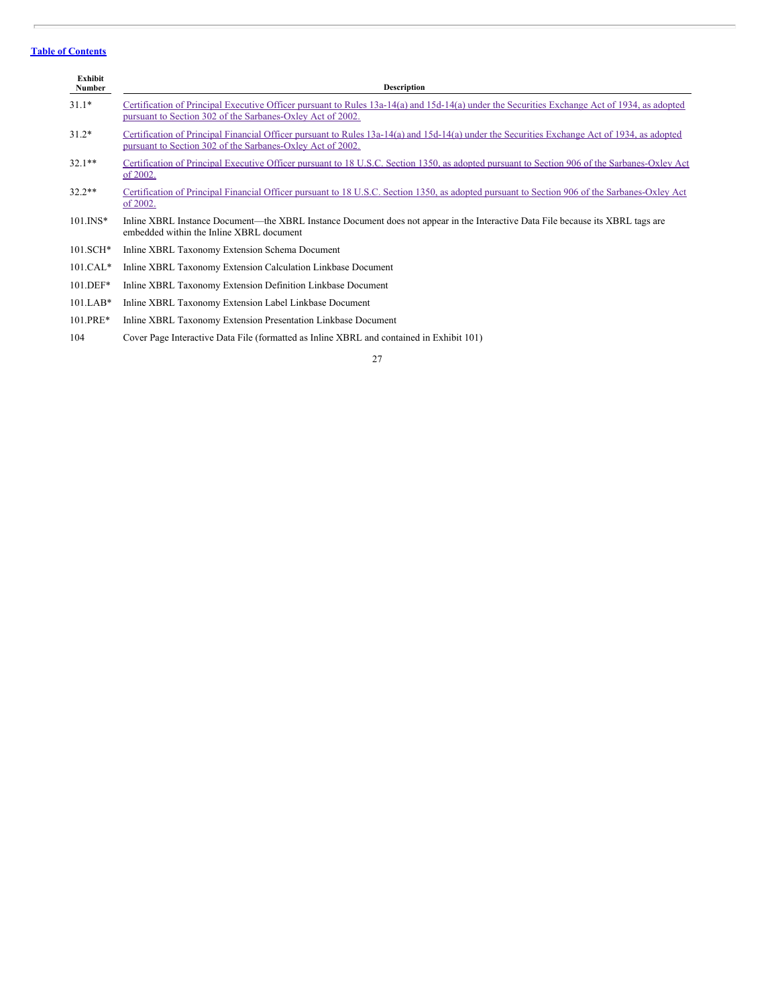| Exhibit<br>Number | <b>Description</b>                                                                                                                                                                                         |
|-------------------|------------------------------------------------------------------------------------------------------------------------------------------------------------------------------------------------------------|
| $31.1*$           | Certification of Principal Executive Officer pursuant to Rules 13a-14(a) and 15d-14(a) under the Securities Exchange Act of 1934, as adopted<br>pursuant to Section 302 of the Sarbanes-Oxley Act of 2002. |
| $31.2*$           | Certification of Principal Financial Officer pursuant to Rules 13a-14(a) and 15d-14(a) under the Securities Exchange Act of 1934, as adopted<br>pursuant to Section 302 of the Sarbanes-Oxley Act of 2002. |
| $32.1**$          | Certification of Principal Executive Officer pursuant to 18 U.S.C. Section 1350, as adopted pursuant to Section 906 of the Sarbanes-Oxley Act<br>of 2002.                                                  |
| $32.2**$          | Certification of Principal Financial Officer pursuant to 18 U.S.C. Section 1350, as adopted pursuant to Section 906 of the Sarbanes-Oxley Act<br>of 2002.                                                  |
| $101$ . INS*      | Inline XBRL Instance Document—the XBRL Instance Document does not appear in the Interactive Data File because its XBRL tags are<br>embedded within the Inline XBRL document                                |
| $101.SCH*$        | Inline XBRL Taxonomy Extension Schema Document                                                                                                                                                             |
| $101.CAL*$        | Inline XBRL Taxonomy Extension Calculation Linkbase Document                                                                                                                                               |
| $101.DEF*$        | Inline XBRL Taxonomy Extension Definition Linkbase Document                                                                                                                                                |
| $101.LAB*$        | Inline XBRL Taxonomy Extension Label Linkbase Document                                                                                                                                                     |
| 101.PRE*          | Inline XBRL Taxonomy Extension Presentation Linkbase Document                                                                                                                                              |
|                   |                                                                                                                                                                                                            |

104 Cover Page Interactive Data File (formatted as Inline XBRL and contained in Exhibit 101)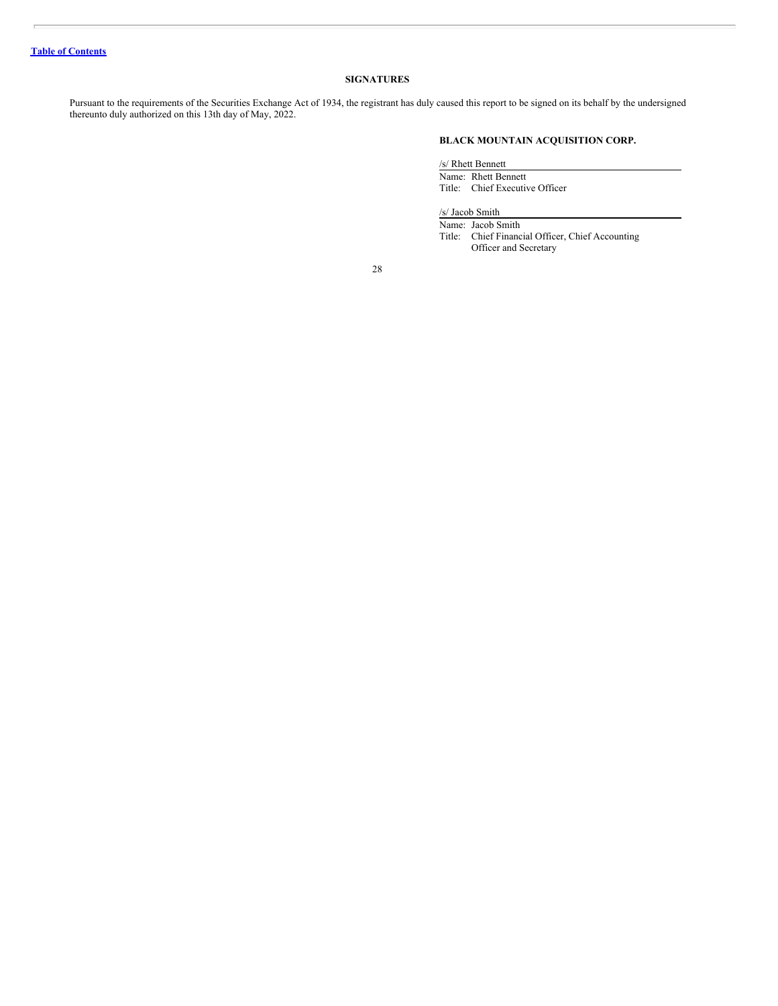### **SIGNATURES**

Pursuant to the requirements of the Securities Exchange Act of 1934, the registrant has duly caused this report to be signed on its behalf by the undersigned thereunto duly authorized on this 13th day of May, 2022.

### **BLACK MOUNTAIN ACQUISITION CORP.**

/s/ Rhett Bennett

Name: Rhett Bennett Title: Chief Executive Officer

/s/ Jacob Smith

Name: Jacob Smith Title: Chief Financial Officer, Chief Accounting Officer and Secretary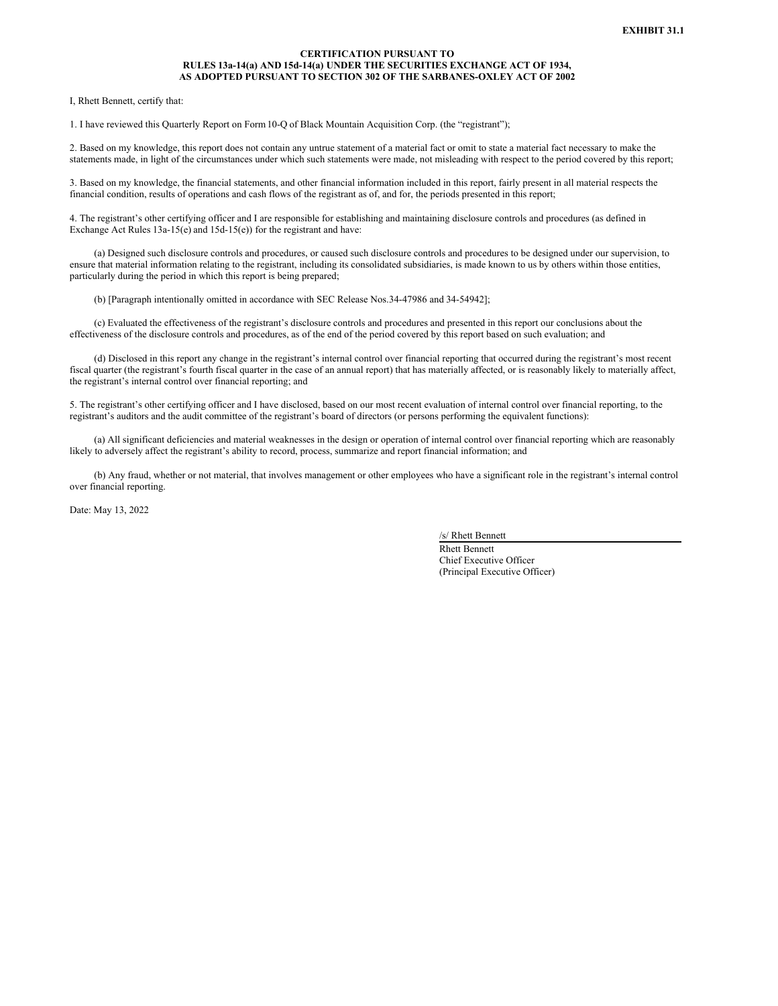### **CERTIFICATION PURSUANT TO RULES 13a-14(a) AND 15d-14(a) UNDER THE SECURITIES EXCHANGE ACT OF 1934, AS ADOPTED PURSUANT TO SECTION 302 OF THE SARBANES-OXLEY ACT OF 2002**

<span id="page-32-0"></span>I, Rhett Bennett, certify that:

1. I have reviewed this Quarterly Report on Form10-Q of Black Mountain Acquisition Corp. (the "registrant");

2. Based on my knowledge, this report does not contain any untrue statement of a material fact or omit to state a material fact necessary to make the statements made, in light of the circumstances under which such statements were made, not misleading with respect to the period covered by this report;

3. Based on my knowledge, the financial statements, and other financial information included in this report, fairly present in all material respects the financial condition, results of operations and cash flows of the registrant as of, and for, the periods presented in this report;

4. The registrant's other certifying officer and I are responsible for establishing and maintaining disclosure controls and procedures (as defined in Exchange Act Rules 13a-15(e) and 15d-15(e)) for the registrant and have:

(a) Designed such disclosure controls and procedures, or caused such disclosure controls and procedures to be designed under our supervision, to ensure that material information relating to the registrant, including its consolidated subsidiaries, is made known to us by others within those entities, particularly during the period in which this report is being prepared;

(b) [Paragraph intentionally omitted in accordance with SEC Release Nos.34-47986 and 34-54942];

(c) Evaluated the effectiveness of the registrant's disclosure controls and procedures and presented in this report our conclusions about the effectiveness of the disclosure controls and procedures, as of the end of the period covered by this report based on such evaluation; and

(d) Disclosed in this report any change in the registrant's internal control over financial reporting that occurred during the registrant's most recent fiscal quarter (the registrant's fourth fiscal quarter in the case of an annual report) that has materially affected, or is reasonably likely to materially affect, the registrant's internal control over financial reporting; and

5. The registrant's other certifying officer and I have disclosed, based on our most recent evaluation of internal control over financial reporting, to the registrant's auditors and the audit committee of the registrant's board of directors (or persons performing the equivalent functions):

(a) All significant deficiencies and material weaknesses in the design or operation of internal control over financial reporting which are reasonably likely to adversely affect the registrant's ability to record, process, summarize and report financial information; and

(b) Any fraud, whether or not material, that involves management or other employees who have a significant role in the registrant's internal control over financial reporting.

Date: May 13, 2022

/s/ Rhett Bennett

Rhett Bennett Chief Executive Officer (Principal Executive Officer)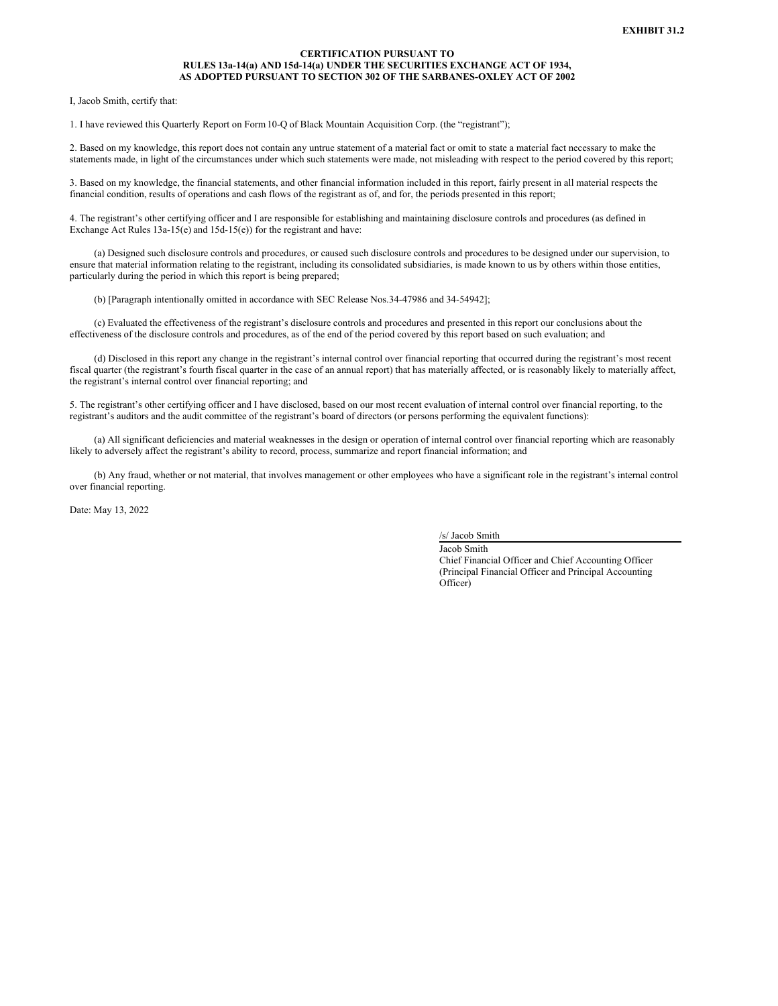### **CERTIFICATION PURSUANT TO RULES 13a-14(a) AND 15d-14(a) UNDER THE SECURITIES EXCHANGE ACT OF 1934, AS ADOPTED PURSUANT TO SECTION 302 OF THE SARBANES-OXLEY ACT OF 2002**

<span id="page-33-0"></span>I, Jacob Smith, certify that:

1. I have reviewed this Quarterly Report on Form10-Q of Black Mountain Acquisition Corp. (the "registrant");

2. Based on my knowledge, this report does not contain any untrue statement of a material fact or omit to state a material fact necessary to make the statements made, in light of the circumstances under which such statements were made, not misleading with respect to the period covered by this report;

3. Based on my knowledge, the financial statements, and other financial information included in this report, fairly present in all material respects the financial condition, results of operations and cash flows of the registrant as of, and for, the periods presented in this report;

4. The registrant's other certifying officer and I are responsible for establishing and maintaining disclosure controls and procedures (as defined in Exchange Act Rules 13a-15(e) and 15d-15(e)) for the registrant and have:

(a) Designed such disclosure controls and procedures, or caused such disclosure controls and procedures to be designed under our supervision, to ensure that material information relating to the registrant, including its consolidated subsidiaries, is made known to us by others within those entities, particularly during the period in which this report is being prepared;

(b) [Paragraph intentionally omitted in accordance with SEC Release Nos.34-47986 and 34-54942];

(c) Evaluated the effectiveness of the registrant's disclosure controls and procedures and presented in this report our conclusions about the effectiveness of the disclosure controls and procedures, as of the end of the period covered by this report based on such evaluation; and

(d) Disclosed in this report any change in the registrant's internal control over financial reporting that occurred during the registrant's most recent fiscal quarter (the registrant's fourth fiscal quarter in the case of an annual report) that has materially affected, or is reasonably likely to materially affect, the registrant's internal control over financial reporting; and

5. The registrant's other certifying officer and I have disclosed, based on our most recent evaluation of internal control over financial reporting, to the registrant's auditors and the audit committee of the registrant's board of directors (or persons performing the equivalent functions):

(a) All significant deficiencies and material weaknesses in the design or operation of internal control over financial reporting which are reasonably likely to adversely affect the registrant's ability to record, process, summarize and report financial information; and

(b) Any fraud, whether or not material, that involves management or other employees who have a significant role in the registrant's internal control over financial reporting.

Date: May 13, 2022

/s/ Jacob Smith

Jacob Smith Chief Financial Officer and Chief Accounting Officer (Principal Financial Officer and Principal Accounting Officer)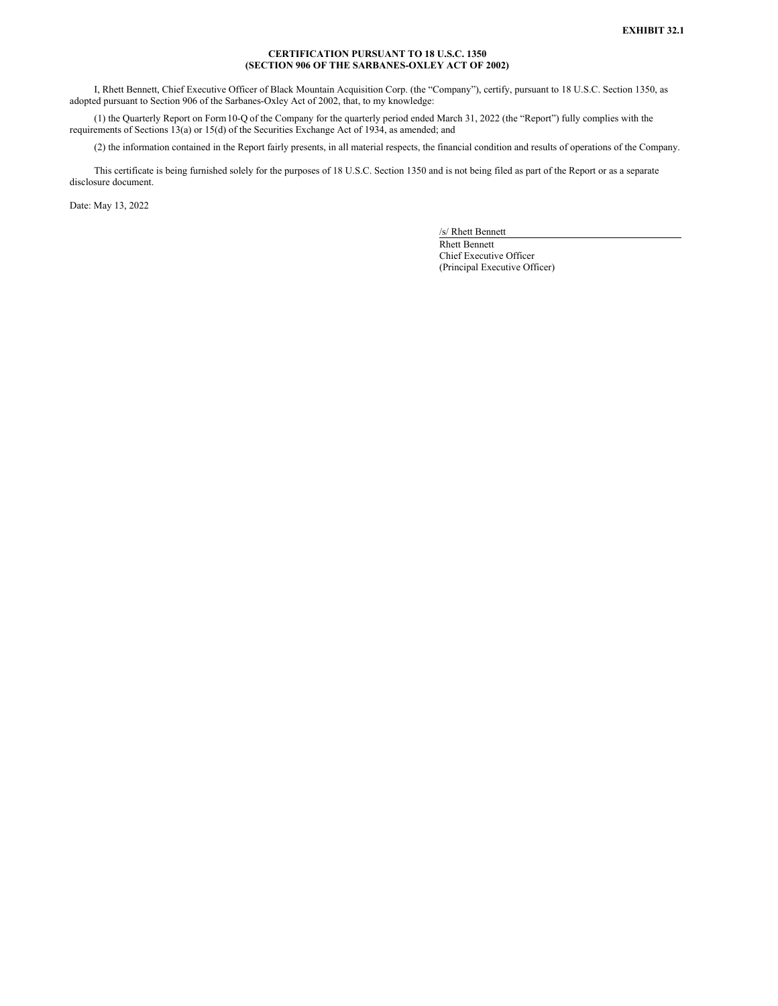### **CERTIFICATION PURSUANT TO 18 U.S.C. 1350 (SECTION 906 OF THE SARBANES-OXLEY ACT OF 2002)**

<span id="page-34-0"></span>I, Rhett Bennett, Chief Executive Officer of Black Mountain Acquisition Corp. (the "Company"), certify, pursuant to 18 U.S.C. Section 1350, as adopted pursuant to Section 906 of the Sarbanes-Oxley Act of 2002, that, to my knowledge:

(1) the Quarterly Report on Form10-Q of the Company for the quarterly period ended March 31, 2022 (the "Report") fully complies with the requirements of Sections 13(a) or 15(d) of the Securities Exchange Act of 1934, as amended; and

(2) the information contained in the Report fairly presents, in all material respects, the financial condition and results of operations of the Company.

This certificate is being furnished solely for the purposes of 18 U.S.C. Section 1350 and is not being filed as part of the Report or as a separate disclosure document.

Date: May 13, 2022

/s/ Rhett Bennett

Rhett Bennett Chief Executive Officer (Principal Executive Officer)